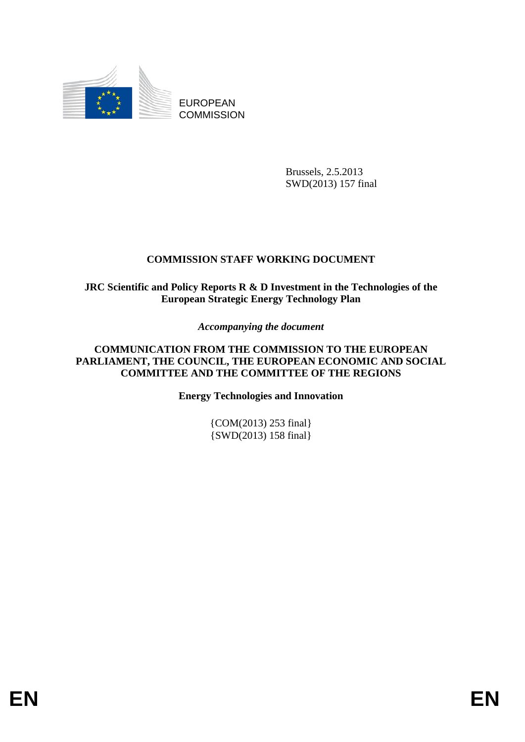

EUROPEAN **COMMISSION** 

> Brussels, 2.5.2013 SWD(2013) 157 final

# **COMMISSION STAFF WORKING DOCUMENT**

**JRC Scientific and Policy Reports R & D Investment in the Technologies of the European Strategic Energy Technology Plan** 

*Accompanying the document* 

**COMMUNICATION FROM THE COMMISSION TO THE EUROPEAN PARLIAMENT, THE COUNCIL, THE EUROPEAN ECONOMIC AND SOCIAL COMMITTEE AND THE COMMITTEE OF THE REGIONS** 

**Energy Technologies and Innovation** 

{COM(2013) 253 final} {SWD(2013) 158 final}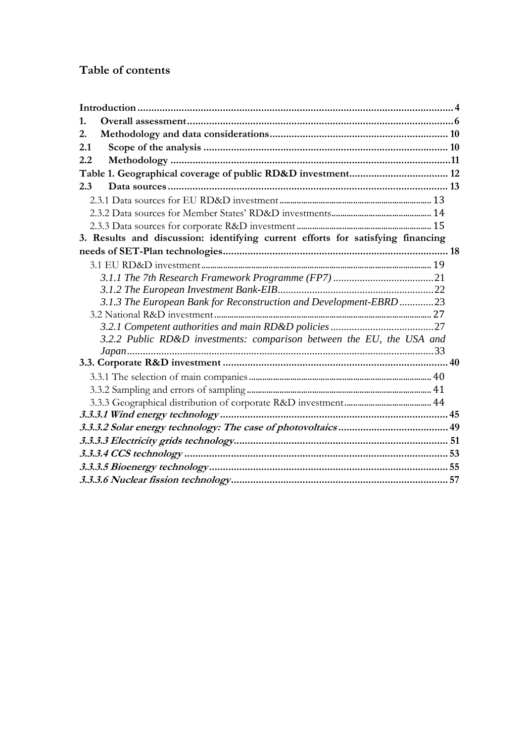# **Table of contents**

| 1.                                                                              |  |
|---------------------------------------------------------------------------------|--|
| 2.                                                                              |  |
| 2.1                                                                             |  |
| 2.2                                                                             |  |
|                                                                                 |  |
| 2.3                                                                             |  |
|                                                                                 |  |
|                                                                                 |  |
|                                                                                 |  |
| 3. Results and discussion: identifying current efforts for satisfying financing |  |
|                                                                                 |  |
|                                                                                 |  |
|                                                                                 |  |
|                                                                                 |  |
| 3.1.3 The European Bank for Reconstruction and Development-EBRD 23              |  |
|                                                                                 |  |
|                                                                                 |  |
| 3.2.2 Public RD&D investments: comparison between the EU, the USA and           |  |
|                                                                                 |  |
|                                                                                 |  |
|                                                                                 |  |
|                                                                                 |  |
|                                                                                 |  |
|                                                                                 |  |
|                                                                                 |  |
|                                                                                 |  |
|                                                                                 |  |
|                                                                                 |  |
|                                                                                 |  |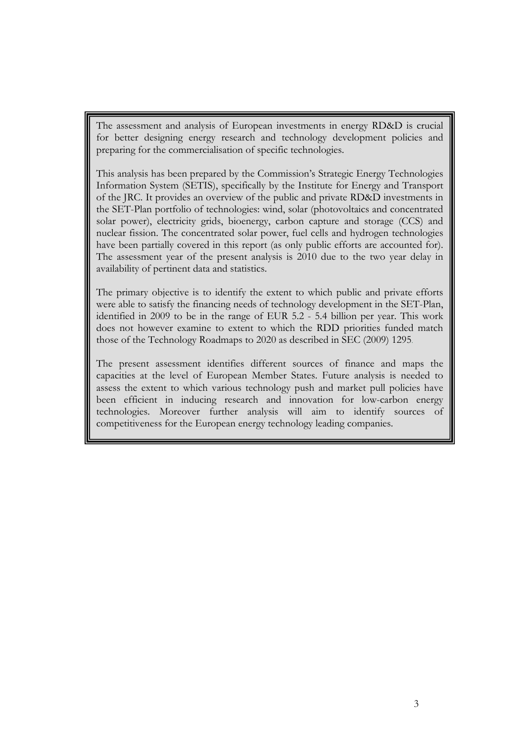The assessment and analysis of European investments in energy RD&D is crucial for better designing energy research and technology development policies and preparing for the commercialisation of specific technologies.

This analysis has been prepared by the Commission's Strategic Energy Technologies Information System (SETIS), specifically by the Institute for Energy and Transport of the JRC. It provides an overview of the public and private RD&D investments in the SET-Plan portfolio of technologies: wind, solar (photovoltaics and concentrated solar power), electricity grids, bioenergy, carbon capture and storage (CCS) and nuclear fission. The concentrated solar power, fuel cells and hydrogen technologies have been partially covered in this report (as only public efforts are accounted for). The assessment year of the present analysis is 2010 due to the two year delay in availability of pertinent data and statistics.

The primary objective is to identify the extent to which public and private efforts were able to satisfy the financing needs of technology development in the SET-Plan, identified in 2009 to be in the range of EUR 5.2 - 5.4 billion per year. This work does not however examine to extent to which the RDD priorities funded match those of the Technology Roadmaps to 2020 as described in SEC (2009) 1295.

The present assessment identifies different sources of finance and maps the capacities at the level of European Member States. Future analysis is needed to assess the extent to which various technology push and market pull policies have been efficient in inducing research and innovation for low-carbon energy technologies. Moreover further analysis will aim to identify sources of competitiveness for the European energy technology leading companies.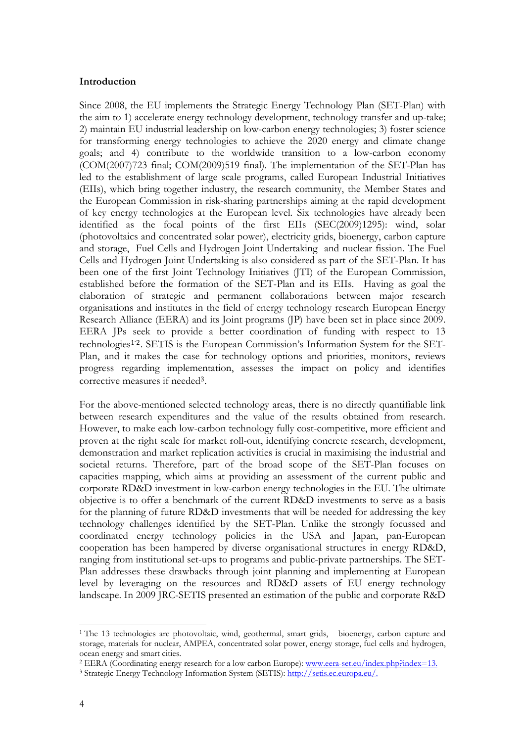#### <span id="page-3-0"></span>**Introduction**

Since 2008, the EU implements the Strategic Energy Technology Plan (SET-Plan) with the aim to 1) accelerate energy technology development, technology transfer and up-take; 2) maintain EU industrial leadership on low-carbon energy technologies; 3) foster science for transforming energy technologies to achieve the 2020 energy and climate change goals; and 4) contribute to the worldwide transition to a low-carbon economy (COM(2007)723 final; COM(2009)519 final). The implementation of the SET-Plan has led to the establishment of large scale programs, called European Industrial Initiatives (EIIs), which bring together industry, the research community, the Member States and the European Commission in risk-sharing partnerships aiming at the rapid development of key energy technologies at the European level. Six technologies have already been identified as the focal points of the first EIIs (SEC(2009)1295): wind, solar (photovoltaics and concentrated solar power), electricity grids, bioenergy, carbon capture and storage, Fuel Cells and Hydrogen Joint Undertaking and nuclear fission. The Fuel Cells and Hydrogen Joint Undertaking is also considered as part of the SET-Plan. It has been one of the first Joint Technology Initiatives (JTI) of the European Commission, established before the formation of the SET-Plan and its EIIs. Having as goal the elaboration of strategic and permanent collaborations between major research organisations and institutes in the field of energy technology research European Energy Research Alliance (EERA) and its Joint programs (JP) have been set in place since 2009. EERA JPs seek to provide a better coordination of funding with respect to 13 technologies1-2. SETIS is the European Commission's Information System for the SET-Plan, and it makes the case for technology options and priorities, monitors, reviews progress regarding implementation, assesses the impact on policy and identifies corrective measures if needed<sup>3</sup>.

For the above-mentioned selected technology areas, there is no directly quantifiable link between research expenditures and the value of the results obtained from research. However, to make each low-carbon technology fully cost-competitive, more efficient and proven at the right scale for market roll-out, identifying concrete research, development, demonstration and market replication activities is crucial in maximising the industrial and societal returns. Therefore, part of the broad scope of the SET-Plan focuses on capacities mapping, which aims at providing an assessment of the current public and corporate RD&D investment in low-carbon energy technologies in the EU. The ultimate objective is to offer a benchmark of the current RD&D investments to serve as a basis for the planning of future RD&D investments that will be needed for addressing the key technology challenges identified by the SET-Plan. Unlike the strongly focussed and coordinated energy technology policies in the USA and Japan, pan-European cooperation has been hampered by diverse organisational structures in energy RD&D, ranging from institutional set-ups to programs and public-private partnerships. The SET-Plan addresses these drawbacks through joint planning and implementing at European level by leveraging on the resources and RD&D assets of EU energy technology landscape. In 2009 JRC-SETIS presented an estimation of the public and corporate R&D

<sup>&</sup>lt;u>.</u> <sup>1</sup> The 13 technologies are photovoltaic, wind, geothermal, smart grids, bioenergy, carbon capture and storage, materials for nuclear, AMPEA, concentrated solar power, energy storage, fuel cells and hydrogen, ocean energy and smart cities.

<sup>&</sup>lt;sup>2</sup> EERA (Coordinating energy research for a low carbon Europe): www.eera-set.eu/index.php?index=13.

<sup>3</sup> Strategic Energy Technology Information System (SETIS): http://setis.ec.europa.eu/.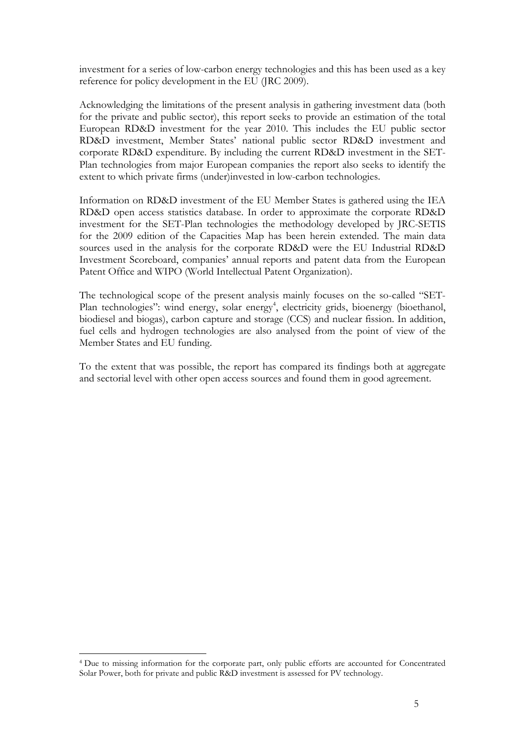investment for a series of low-carbon energy technologies and this has been used as a key reference for policy development in the EU (JRC 2009).

Acknowledging the limitations of the present analysis in gathering investment data (both for the private and public sector), this report seeks to provide an estimation of the total European RD&D investment for the year 2010. This includes the EU public sector RD&D investment, Member States' national public sector RD&D investment and corporate RD&D expenditure. By including the current RD&D investment in the SET-Plan technologies from major European companies the report also seeks to identify the extent to which private firms (under)invested in low-carbon technologies.

Information on RD&D investment of the EU Member States is gathered using the IEA RD&D open access statistics database. In order to approximate the corporate RD&D investment for the SET-Plan technologies the methodology developed by JRC-SETIS for the 2009 edition of the Capacities Map has been herein extended. The main data sources used in the analysis for the corporate RD&D were the EU Industrial RD&D Investment Scoreboard, companies' annual reports and patent data from the European Patent Office and WIPO (World Intellectual Patent Organization).

The technological scope of the present analysis mainly focuses on the so-called "SET-Plan technologies": wind energy, solar energy<sup>4</sup>, electricity grids, bioenergy (bioethanol, biodiesel and biogas), carbon capture and storage (CCS) and nuclear fission. In addition, fuel cells and hydrogen technologies are also analysed from the point of view of the Member States and EU funding.

To the extent that was possible, the report has compared its findings both at aggregate and sectorial level with other open access sources and found them in good agreement.

<sup>4</sup> Due to missing information for the corporate part, only public efforts are accounted for Concentrated Solar Power, both for private and public R&D investment is assessed for PV technology.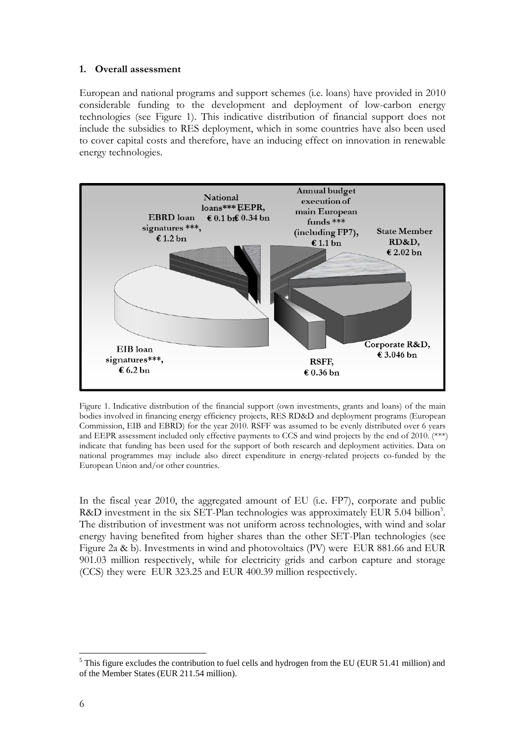#### <span id="page-5-0"></span>**1. Overall assessment**

European and national programs and support schemes (i.e. loans) have provided in 2010 considerable funding to the development and deployment of low-carbon energy technologies (see Figure 1). This indicative distribution of financial support does not include the subsidies to RES deployment, which in some countries have also been used to cover capital costs and therefore, have an inducing effect on innovation in renewable energy technologies.



Figure 1. Indicative distribution of the financial support (own investments, grants and loans) of the main bodies involved in financing energy efficiency projects, RES RD&D and deployment programs (European Commission, EIB and EBRD) for the year 2010. RSFF was assumed to be evenly distributed over 6 years and EEPR assessment included only effective payments to CCS and wind projects by the end of 2010. (\*\*\*) indicate that funding has been used for the support of both research and deployment activities. Data on national programmes may include also direct expenditure in energy-related projects co-funded by the European Union and/or other countries.

In the fiscal year 2010, the aggregated amount of EU (i.e. FP7), corporate and public R&D investment in the six SET-Plan technologies was approximately EUR 5.04 billion<sup>5</sup>. The distribution of investment was not uniform across technologies, with wind and solar energy having benefited from higher shares than the other SET-Plan technologies (see Figure 2a & b). Investments in wind and photovoltaics (PV) were EUR 881.66 and EUR 901.03 million respectively, while for electricity grids and carbon capture and storage (CCS) they were EUR 323.25 and EUR 400.39 million respectively.

<sup>&</sup>lt;u>.</u>  $<sup>5</sup>$  This figure excludes the contribution to fuel cells and hydrogen from the EU (EUR 51.41 million) and</sup> of the Member States (EUR 211.54 million).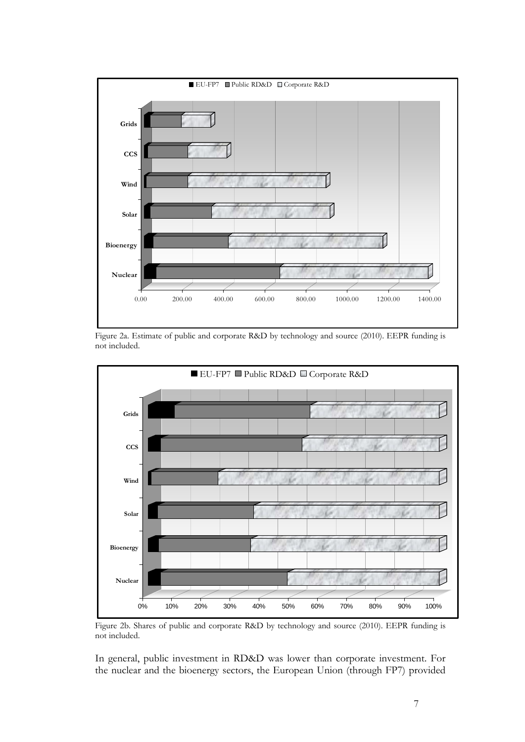

Figure 2a. Estimate of public and corporate R&D by technology and source (2010). EEPR funding is not included.



Figure 2b. Shares of public and corporate R&D by technology and source (2010). EEPR funding is not included.

In general, public investment in RD&D was lower than corporate investment. For the nuclear and the bioenergy sectors, the European Union (through FP7) provided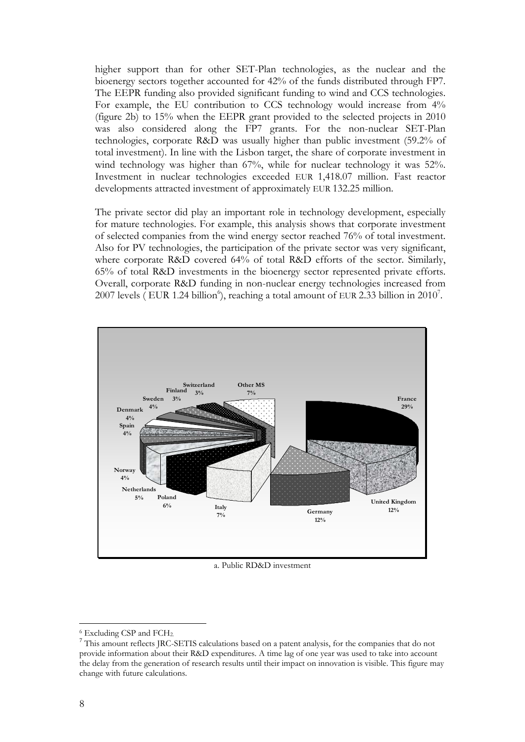higher support than for other SET-Plan technologies, as the nuclear and the bioenergy sectors together accounted for 42% of the funds distributed through FP7. The EEPR funding also provided significant funding to wind and CCS technologies. For example, the EU contribution to CCS technology would increase from 4% (figure 2b) to 15% when the EEPR grant provided to the selected projects in 2010 was also considered along the FP7 grants. For the non-nuclear SET-Plan technologies, corporate R&D was usually higher than public investment (59.2% of total investment). In line with the Lisbon target, the share of corporate investment in wind technology was higher than 67%, while for nuclear technology it was 52%. Investment in nuclear technologies exceeded EUR 1,418.07 million. Fast reactor developments attracted investment of approximately EUR 132.25 million.

The private sector did play an important role in technology development, especially for mature technologies. For example, this analysis shows that corporate investment of selected companies from the wind energy sector reached 76% of total investment. Also for PV technologies, the participation of the private sector was very significant, where corporate R&D covered 64% of total R&D efforts of the sector. Similarly, 65% of total R&D investments in the bioenergy sector represented private efforts. Overall, corporate R&D funding in non-nuclear energy technologies increased from 2007 levels (EUR 1.24 billion<sup>6</sup>), reaching a total amount of EUR 2.33 billion in 2010<sup>7</sup>.



a. Public RD&D investment

 $^6$  Excluding CSP and FCH<sub>2.</sub><br><sup>7</sup> This amount reflects JRC-SETIS calculations based on a patent analysis, for the companies that do not provide information about their R&D expenditures. A time lag of one year was used to take into account the delay from the generation of research results until their impact on innovation is visible. This figure may change with future calculations.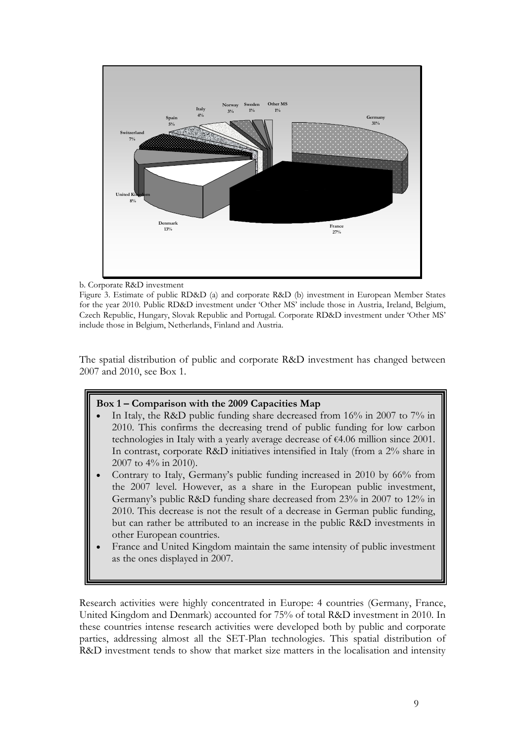

b. Corporate R&D investment

Figure 3. Estimate of public RD&D (a) and corporate R&D (b) investment in European Member States for the year 2010. Public RD&D investment under 'Other MS' include those in Austria, Ireland, Belgium, Czech Republic, Hungary, Slovak Republic and Portugal. Corporate RD&D investment under 'Other MS' include those in Belgium, Netherlands, Finland and Austria.

The spatial distribution of public and corporate R&D investment has changed between 2007 and 2010, see Box 1.

## **Box 1 – Comparison with the 2009 Capacities Map**

- In Italy, the R&D public funding share decreased from 16% in 2007 to 7% in 2010. This confirms the decreasing trend of public funding for low carbon technologies in Italy with a yearly average decrease of €4.06 million since 2001. In contrast, corporate R&D initiatives intensified in Italy (from a 2% share in 2007 to 4% in 2010).
- Contrary to Italy, Germany's public funding increased in 2010 by 66% from the 2007 level. However, as a share in the European public investment, Germany's public R&D funding share decreased from 23% in 2007 to 12% in 2010. This decrease is not the result of a decrease in German public funding, but can rather be attributed to an increase in the public R&D investments in other European countries.
- France and United Kingdom maintain the same intensity of public investment as the ones displayed in 2007.

Research activities were highly concentrated in Europe: 4 countries (Germany, France, United Kingdom and Denmark) accounted for 75% of total R&D investment in 2010. In these countries intense research activities were developed both by public and corporate parties, addressing almost all the SET-Plan technologies. This spatial distribution of R&D investment tends to show that market size matters in the localisation and intensity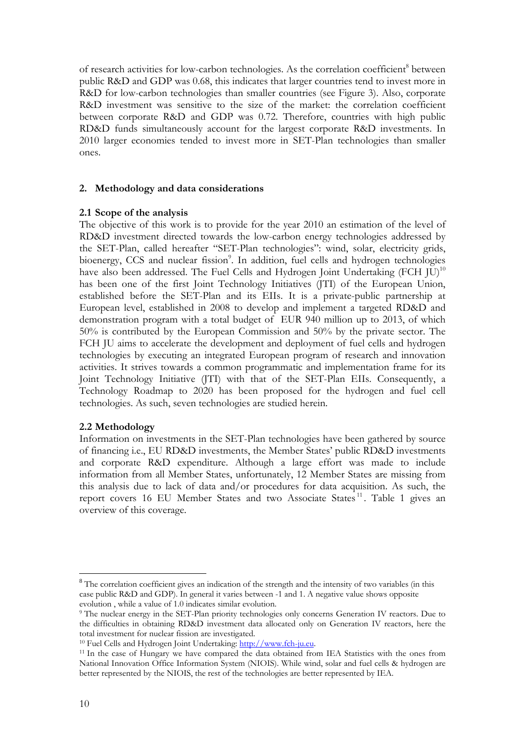of research activities for low-carbon technologies. As the correlation coefficient<sup>8</sup> between public R&D and GDP was 0.68, this indicates that larger countries tend to invest more in R&D for low-carbon technologies than smaller countries (see Figure 3). Also, corporate R&D investment was sensitive to the size of the market: the correlation coefficient between corporate R&D and GDP was 0.72. Therefore, countries with high public RD&D funds simultaneously account for the largest corporate R&D investments. In 2010 larger economies tended to invest more in SET-Plan technologies than smaller ones.

#### <span id="page-9-0"></span>**2. Methodology and data considerations**

#### <span id="page-9-1"></span>**2.1 Scope of the analysis**

The objective of this work is to provide for the year 2010 an estimation of the level of RD&D investment directed towards the low-carbon energy technologies addressed by the SET-Plan, called hereafter "SET-Plan technologies": wind, solar, electricity grids, bioenergy, CCS and nuclear fission<sup>9</sup>. In addition, fuel cells and hydrogen technologies have also been addressed. The Fuel Cells and Hydrogen Joint Undertaking (FCH JU)<sup>10</sup> has been one of the first Joint Technology Initiatives (JTI) of the European Union, established before the SET-Plan and its EIIs. It is a private-public partnership at European level, established in 2008 to develop and implement a targeted RD&D and demonstration program with a total budget of EUR 940 million up to 2013, of which 50% is contributed by the European Commission and 50% by the private sector. The FCH JU aims to accelerate the development and deployment of fuel cells and hydrogen technologies by executing an integrated European program of research and innovation activities. It strives towards a common programmatic and implementation frame for its Joint Technology Initiative (JTI) with that of the SET-Plan EIIs. Consequently, a Technology Roadmap to 2020 has been proposed for the hydrogen and fuel cell technologies. As such, seven technologies are studied herein.

#### <span id="page-9-2"></span>**2.2 Methodology**

Information on investments in the SET-Plan technologies have been gathered by source of financing i.e., EU RD&D investments, the Member States' public RD&D investments and corporate R&D expenditure. Although a large effort was made to include information from all Member States, unfortunately, 12 Member States are missing from this analysis due to lack of data and/or procedures for data acquisition. As such, the report covers 16 EU Member States and two Associate States<sup>11</sup>. Table 1 gives an overview of this coverage.

<sup>&</sup>lt;sup>8</sup> The correlation coefficient gives an indication of the strength and the intensity of two variables (in this case public R&D and GDP). In general it varies between -1 and 1. A negative value shows opposite evolution , while a value of 1.0 indicates similar evolution.

<sup>9</sup> The nuclear energy in the SET-Plan priority technologies only concerns Generation IV reactors. Due to the difficulties in obtaining RD&D investment data allocated only on Generation IV reactors, here the total investment for nuclear fission are investigated.

<sup>&</sup>lt;sup>10</sup> Fuel Cells and Hydrogen Joint Undertaking[: http://www.fch-ju.eu.](http://www.fch-ju.eu/)

<sup>&</sup>lt;sup>11</sup> In the case of Hungary we have compared the data obtained from IEA Statistics with the ones from National Innovation Office Information System (NIOIS). While wind, solar and fuel cells & hydrogen are better represented by the NIOIS, the rest of the technologies are better represented by IEA.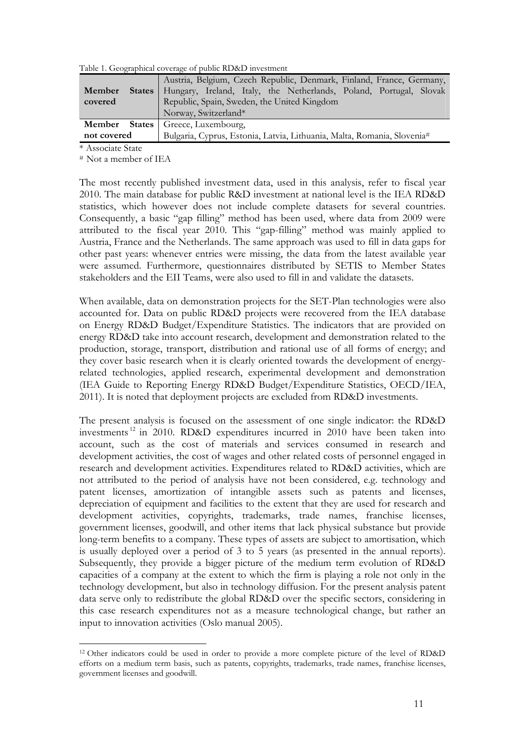<span id="page-10-0"></span>Table 1. Geographical coverage of public RD&D investment

|             | Austria, Belgium, Czech Republic, Denmark, Finland, France, Germany,        |
|-------------|-----------------------------------------------------------------------------|
| Member      | States   Hungary, Ireland, Italy, the Netherlands, Poland, Portugal, Slovak |
| covered     | Republic, Spain, Sweden, the United Kingdom                                 |
|             | Norway, Switzerland*                                                        |
|             | <b>Member</b> States   Greece, Luxembourg,                                  |
| not covered | Bulgaria, Cyprus, Estonia, Latvia, Lithuania, Malta, Romania, Slovenia#     |

\* Associate State

1

# Not a member of IEA

The most recently published investment data, used in this analysis, refer to fiscal year 2010. The main database for public R&D investment at national level is the IEA RD&D statistics, which however does not include complete datasets for several countries. Consequently, a basic "gap filling" method has been used, where data from 2009 were attributed to the fiscal year 2010. This "gap-filling" method was mainly applied to Austria, France and the Netherlands. The same approach was used to fill in data gaps for other past years: whenever entries were missing, the data from the latest available year were assumed. Furthermore, questionnaires distributed by SETIS to Member States stakeholders and the EII Teams, were also used to fill in and validate the datasets.

When available, data on demonstration projects for the SET-Plan technologies were also accounted for. Data on public RD&D projects were recovered from the IEA database on Energy RD&D Budget/Expenditure Statistics. The indicators that are provided on energy RD&D take into account research, development and demonstration related to the production, storage, transport, distribution and rational use of all forms of energy; and they cover basic research when it is clearly oriented towards the development of energyrelated technologies, applied research, experimental development and demonstration (IEA Guide to Reporting Energy RD&D Budget/Expenditure Statistics, OECD/IEA, 2011). It is noted that deployment projects are excluded from RD&D investments.

The present analysis is focused on the assessment of one single indicator: the RD&D investments 12 in 2010. RD&D expenditures incurred in 2010 have been taken into account, such as the cost of materials and services consumed in research and development activities, the cost of wages and other related costs of personnel engaged in research and development activities. Expenditures related to RD&D activities, which are not attributed to the period of analysis have not been considered, e.g. technology and patent licenses, amortization of intangible assets such as patents and licenses, depreciation of equipment and facilities to the extent that they are used for research and development activities, copyrights, trademarks, trade names, franchise licenses, government licenses, goodwill, and other items that lack physical substance but provide long-term benefits to a company. These types of assets are subject to amortisation, which is usually deployed over a period of 3 to 5 years (as presented in the annual reports). Subsequently, they provide a bigger picture of the medium term evolution of RD&D capacities of a company at the extent to which the firm is playing a role not only in the technology development, but also in technology diffusion. For the present analysis patent data serve only to redistribute the global RD&D over the specific sectors, considering in this case research expenditures not as a measure technological change, but rather an input to innovation activities (Oslo manual 2005).

<sup>12</sup> Other indicators could be used in order to provide a more complete picture of the level of RD&D efforts on a medium term basis, such as patents, copyrights, trademarks, trade names, franchise licenses, government licenses and goodwill.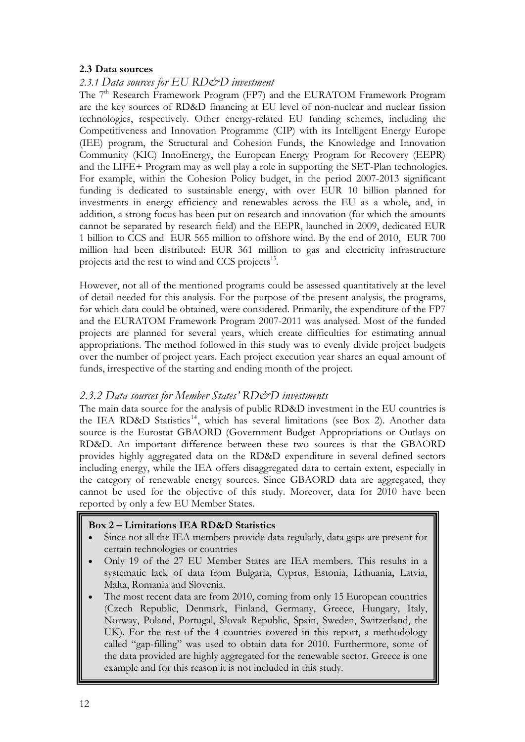## <span id="page-11-1"></span><span id="page-11-0"></span>**2.3 Data sources**

# *2.3.1 Data sources for EU RD&D investment*

The 7<sup>th</sup> Research Framework Program (FP7) and the EURATOM Framework Program are the key sources of RD&D financing at EU level of non-nuclear and nuclear fission technologies, respectively. Other energy-related EU funding schemes, including the Competitiveness and Innovation Programme (CIP) with its Intelligent Energy Europe (IEE) program, the Structural and Cohesion Funds, the Knowledge and Innovation Community (KIC) InnoEnergy, the European Energy Program for Recovery (EEPR) and the LIFE+ Program may as well play a role in supporting the SET-Plan technologies. For example, within the Cohesion Policy budget, in the period 2007-2013 significant funding is dedicated to sustainable energy, with over EUR 10 billion planned for investments in energy efficiency and renewables across the EU as a whole, and, in addition, a strong focus has been put on research and innovation (for which the amounts cannot be separated by research field) and the EEPR, launched in 2009, dedicated EUR 1 billion to CCS and EUR 565 million to offshore wind. By the end of 2010, EUR 700 million had been distributed: EUR 361 million to gas and electricity infrastructure projects and the rest to wind and CCS projects<sup>13</sup>.

However, not all of the mentioned programs could be assessed quantitatively at the level of detail needed for this analysis. For the purpose of the present analysis, the programs, for which data could be obtained, were considered. Primarily, the expenditure of the FP7 and the EURATOM Framework Program 2007-2011 was analysed. Most of the funded projects are planned for several years, which create difficulties for estimating annual appropriations. The method followed in this study was to evenly divide project budgets over the number of project years. Each project execution year shares an equal amount of funds, irrespective of the starting and ending month of the project.

# <span id="page-11-2"></span>*2.3.2 Data sources for Member States' RD&D investments*

The main data source for the analysis of public RD&D investment in the EU countries is the IEA RD&D Statistics<sup>14</sup>, which has several limitations (see Box 2). Another data source is the Eurostat GBAORD (Government Budget Appropriations or Outlays on RD&D. An important difference between these two sources is that the GBAORD provides highly aggregated data on the RD&D expenditure in several defined sectors including energy, while the IEA offers disaggregated data to certain extent, especially in the category of renewable energy sources. Since GBAORD data are aggregated, they cannot be used for the objective of this study. Moreover, data for 2010 have been reported by only a few EU Member States.

## **Box 2 – Limitations IEA RD&D Statistics**

- Since not all the IEA members provide data regularly, data gaps are present for certain technologies or countries
- Only 19 of the 27 EU Member States are IEA members. This results in a systematic lack of data from Bulgaria, Cyprus, Estonia, Lithuania, Latvia, Malta, Romania and Slovenia.
- example and for this reason it is not included in this study. The most recent data are from 2010, coming from only 15 European countries (Czech Republic, Denmark, Finland, Germany, Greece, Hungary, Italy, Norway, Poland, Portugal, Slovak Republic, Spain, Sweden, Switzerland, the UK). For the rest of the 4 countries covered in this report, a methodology called "gap-filling" was used to obtain data for 2010. Furthermore, some of the data provided are highly aggregated for the renewable sector. Greece is one

I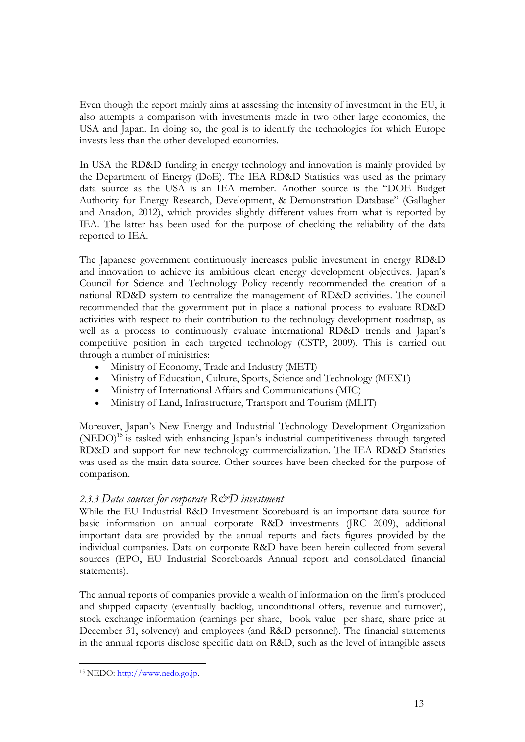Even though the report mainly aims at assessing the intensity of investment in the EU, it also attempts a comparison with investments made in two other large economies, the USA and Japan. In doing so, the goal is to identify the technologies for which Europe invests less than the other developed economies.

In USA the RD&D funding in energy technology and innovation is mainly provided by the Department of Energy (DoE). The IEA RD&D Statistics was used as the primary data source as the USA is an IEA member. Another source is the "DOE Budget Authority for Energy Research, Development, & Demonstration Database" (Gallagher and Anadon, 2012), which provides slightly different values from what is reported by IEA. The latter has been used for the purpose of checking the reliability of the data reported to IEA.

The Japanese government continuously increases public investment in energy RD&D and innovation to achieve its ambitious clean energy development objectives. Japan's Council for Science and Technology Policy recently recommended the creation of a national RD&D system to centralize the management of RD&D activities. The council recommended that the government put in place a national process to evaluate RD&D activities with respect to their contribution to the technology development roadmap, as well as a process to continuously evaluate international RD&D trends and Japan's competitive position in each targeted technology (CSTP, 2009). This is carried out through a number of ministries:

- Ministry of Economy, Trade and Industry (METI)
- Ministry of Education, Culture, Sports, Science and Technology (MEXT)
- Ministry of International Affairs and Communications (MIC)
- Ministry of Land, Infrastructure, Transport and Tourism (MLIT)

Moreover, Japan's New Energy and Industrial Technology Development Organization (NEDO)<sup>15</sup> is tasked with enhancing Japan's industrial competitiveness through targeted RD&D and support for new technology commercialization. The IEA RD&D Statistics was used as the main data source. Other sources have been checked for the purpose of comparison.

# <span id="page-12-0"></span>*2.3.3 Data sources for corporate R&D investment*

While the EU Industrial R&D Investment Scoreboard is an important data source for basic information on annual corporate R&D investments (JRC 2009), additional important data are provided by the annual reports and facts figures provided by the individual companies. Data on corporate R&D have been herein collected from several sources (EPO, EU Industrial Scoreboards Annual report and consolidated financial statements).

The annual reports of companies provide a wealth of information on the firm's produced and shipped capacity (eventually backlog, unconditional offers, revenue and turnover), stock exchange information (earnings per share, book value per share, share price at December 31, solvency) and employees (and R&D personnel). The financial statements in the annual reports disclose specific data on R&D, such as the level of intangible assets

[<sup>15</sup> NEDO: http://www.nedo.go.jp.](http://www.nedo.go.jp/)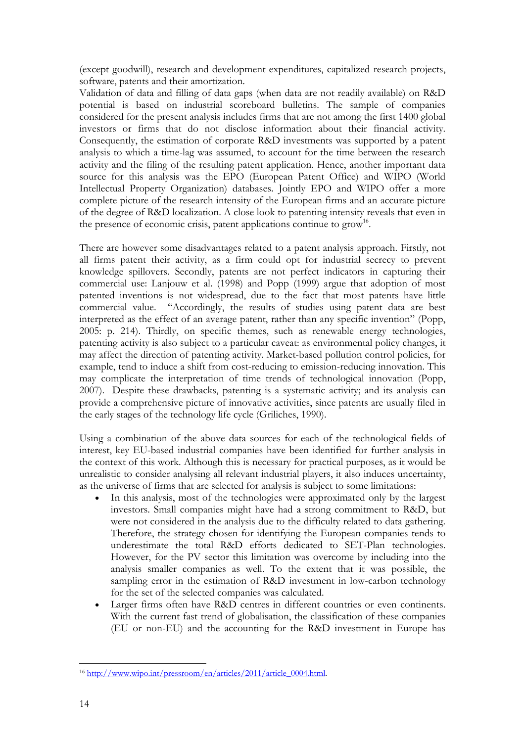(except goodwill), research and development expenditures, capitalized research projects, software, patents and their amortization.

Validation of data and filling of data gaps (when data are not readily available) on R&D potential is based on industrial scoreboard bulletins. The sample of companies considered for the present analysis includes firms that are not among the first 1400 global investors or firms that do not disclose information about their financial activity. Consequently, the estimation of corporate R&D investments was supported by a patent analysis to which a time-lag was assumed, to account for the time between the research activity and the filing of the resulting patent application. Hence, another important data source for this analysis was the EPO (European Patent Office) and WIPO (World Intellectual Property Organization) databases. Jointly EPO and WIPO offer a more complete picture of the research intensity of the European firms and an accurate picture of the degree of R&D localization. A close look to patenting intensity reveals that even in the presence of economic crisis, patent applications continue to  $\text{grow}^{16}$ .

There are however some disadvantages related to a patent analysis approach. Firstly, not all firms patent their activity, as a firm could opt for industrial secrecy to prevent knowledge spillovers. Secondly, patents are not perfect indicators in capturing their commercial use: Lanjouw et al. (1998) and Popp (1999) argue that adoption of most patented inventions is not widespread, due to the fact that most patents have little commercial value. "Accordingly, the results of studies using patent data are best interpreted as the effect of an average patent, rather than any specific invention" (Popp, 2005: p. 214). Thirdly, on specific themes, such as renewable energy technologies, patenting activity is also subject to a particular caveat: as environmental policy changes, it may affect the direction of patenting activity. Market-based pollution control policies, for example, tend to induce a shift from cost-reducing to emission-reducing innovation. This may complicate the interpretation of time trends of technological innovation (Popp, 2007). Despite these drawbacks, patenting is a systematic activity; and its analysis can provide a comprehensive picture of innovative activities, since patents are usually filed in the early stages of the technology life cycle (Griliches, 1990).

Using a combination of the above data sources for each of the technological fields of interest, key EU-based industrial companies have been identified for further analysis in the context of this work. Although this is necessary for practical purposes, as it would be unrealistic to consider analysing all relevant industrial players, it also induces uncertainty, as the universe of firms that are selected for analysis is subject to some limitations:

- In this analysis, most of the technologies were approximated only by the largest investors. Small companies might have had a strong commitment to R&D, but were not considered in the analysis due to the difficulty related to data gathering. Therefore, the strategy chosen for identifying the European companies tends to underestimate the total R&D efforts dedicated to SET-Plan technologies. However, for the PV sector this limitation was overcome by including into the analysis smaller companies as well. To the extent that it was possible, the sampling error in the estimation of R&D investment in low-carbon technology for the set of the selected companies was calculated.
- Larger firms often have R&D centres in different countries or even continents. With the current fast trend of globalisation, the classification of these companies (EU or non-EU) and the accounting for the R&D investment in Europe has

<sup>&</sup>lt;u>.</u> <sup>16</sup> [http://www.wipo.int/pressroom/en/articles/2011/article\\_0004.html.](http://www.wipo.int/pressroom/en/articles/2011/article_0004.html)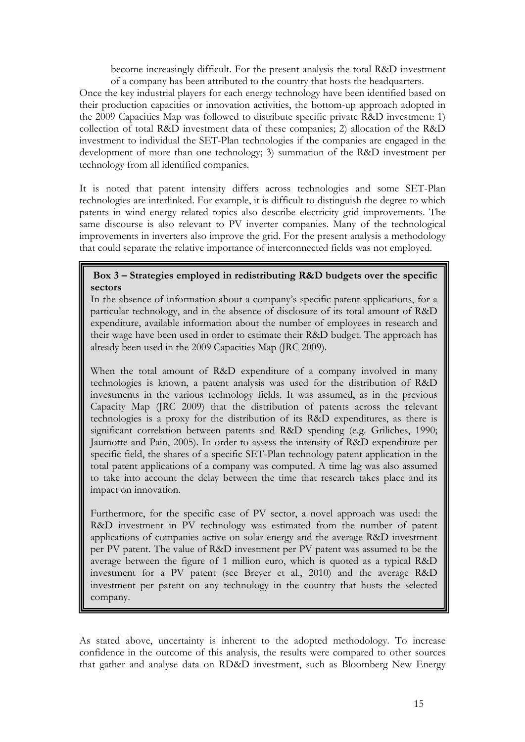become increasingly difficult. For the present analysis the total R&D investment of a company has been attributed to the country that hosts the headquarters.

Once the key industrial players for each energy technology have been identified based on their production capacities or innovation activities, the bottom-up approach adopted in the 2009 Capacities Map was followed to distribute specific private R&D investment: 1) collection of total R&D investment data of these companies; 2) allocation of the R&D investment to individual the SET-Plan technologies if the companies are engaged in the development of more than one technology; 3) summation of the R&D investment per technology from all identified companies.

It is noted that patent intensity differs across technologies and some SET-Plan technologies are interlinked. For example, it is difficult to distinguish the degree to which patents in wind energy related topics also describe electricity grid improvements. The same discourse is also relevant to PV inverter companies. Many of the technological improvements in inverters also improve the grid. For the present analysis a methodology that could separate the relative importance of interconnected fields was not employed.

## **Box 3 – Strategies employed in redistributing R&D budgets over the specific sectors**

In the absence of information about a company's specific patent applications, for a particular technology, and in the absence of disclosure of its total amount of R&D expenditure, available information about the number of employees in research and their wage have been used in order to estimate their R&D budget. The approach has already been used in the 2009 Capacities Map (JRC 2009).

When the total amount of R&D expenditure of a company involved in many technologies is known, a patent analysis was used for the distribution of R&D investments in the various technology fields. It was assumed, as in the previous Capacity Map (JRC 2009) that the distribution of patents across the relevant technologies is a proxy for the distribution of its R&D expenditures, as there is significant correlation between patents and R&D spending (e.g. Griliches, 1990; Jaumotte and Pain, 2005). In order to assess the intensity of R&D expenditure per specific field, the shares of a specific SET-Plan technology patent application in the total patent applications of a company was computed. A time lag was also assumed to take into account the delay between the time that research takes place and its impact on innovation.

Furthermore, for the specific case of PV sector, a novel approach was used: the R&D investment in PV technology was estimated from the number of patent applications of companies active on solar energy and the average R&D investment per PV patent. The value of R&D investment per PV patent was assumed to be the average between the figure of 1 million euro, which is quoted as a typical R&D investment for a PV patent (see Breyer et al., 2010) and the average R&D investment per patent on any technology in the country that hosts the selected company.

As stated above, uncertainty is inherent to the adopted methodology. To increase confidence in the outcome of this analysis, the results were compared to other sources that gather and analyse data on RD&D investment, such as Bloomberg New Energy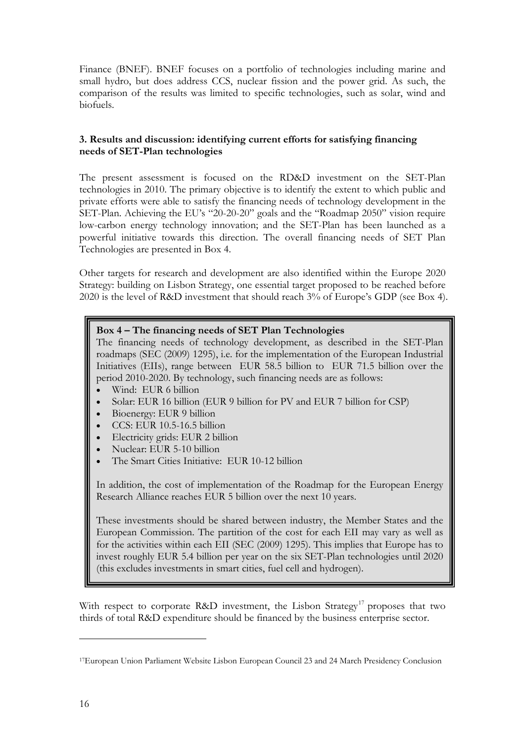Finance (BNEF). BNEF focuses on a portfolio of technologies including marine and small hydro, but does address CCS, nuclear fission and the power grid. As such, the comparison of the results was limited to specific technologies, such as solar, wind and biofuels.

## <span id="page-15-0"></span>**3. Results and discussion: identifying current efforts for satisfying financing needs of SET-Plan technologies**

The present assessment is focused on the RD&D investment on the SET-Plan technologies in 2010. The primary objective is to identify the extent to which public and private efforts were able to satisfy the financing needs of technology development in the SET-Plan. Achieving the EU's "20-20-20" goals and the "Roadmap 2050" vision require low-carbon energy technology innovation; and the SET-Plan has been launched as a powerful initiative towards this direction. The overall financing needs of SET Plan Technologies are presented in Box 4.

Other targets for research and development are also identified within the Europe 2020 Strategy: building on Lisbon Strategy, one essential target proposed to be reached before 2020 is the level of R&D investment that should reach 3% of Europe's GDP (see Box 4).

# **Box 4 – The financing needs of SET Plan Technologies**

The financing needs of technology development, as described in the SET-Plan roadmaps (SEC (2009) 1295), i.e. for the implementation of the European Industrial Initiatives (EIIs), range between EUR 58.5 billion to EUR 71.5 billion over the period 2010-2020. By technology, such financing needs are as follows:

- Wind: EUR 6 billion
- Solar: EUR 16 billion (EUR 9 billion for PV and EUR 7 billion for CSP)
- Bioenergy: EUR 9 billion
- CCS: EUR 10.5-16.5 billion
- Electricity grids: EUR 2 billion
- Nuclear: EUR 5-10 billion
- The Smart Cities Initiative: EUR 10-12 billion

In addition, the cost of implementation of the Roadmap for the European Energy Research Alliance reaches EUR 5 billion over the next 10 years.

These investments should be shared between industry, the Member States and the European Commission. The partition of the cost for each EII may vary as well as for the activities within each EII (SEC (2009) 1295). This implies that Europe has to invest roughly EUR 5.4 billion per year on the six SET-Plan technologies until 2020 (this excludes investments in smart cities, fuel cell and hydrogen).

With respect to corporate R&D investment, the Lisbon Strategy<sup>17</sup> proposes that two thirds of total R&D expenditure should be financed by the business enterprise sector.

[<sup>17</sup>European Union Parliament Website Lisbon European Council 23 and 24 March Presidency Conclusion](http://www.consilium.europa.eu/uedocs/cms_data/docs/pressdata/en/ec/00100-r1.en0.htm)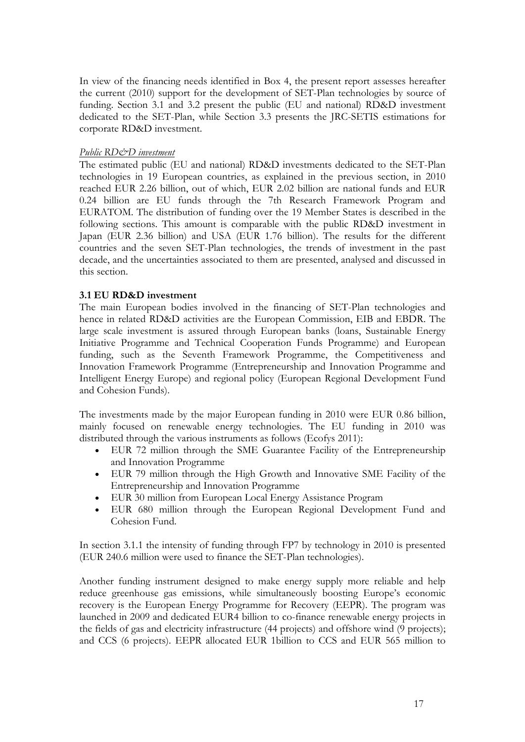In view of the financing needs identified in Box 4, the present report assesses hereafter the current (2010) support for the development of SET-Plan technologies by source of funding. Section 3.1 and 3.2 present the public (EU and national) RD&D investment dedicated to the SET-Plan, while Section 3.3 presents the JRC-SETIS estimations for corporate RD&D investment.

#### *Public RD&D investment*

The estimated public (EU and national) RD&D investments dedicated to the SET-Plan technologies in 19 European countries, as explained in the previous section, in 2010 reached EUR 2.26 billion, out of which, EUR 2.02 billion are national funds and EUR 0.24 billion are EU funds through the 7th Research Framework Program and EURATOM. The distribution of funding over the 19 Member States is described in the following sections. This amount is comparable with the public RD&D investment in Japan (EUR 2.36 billion) and USA (EUR 1.76 billion). The results for the different countries and the seven SET-Plan technologies, the trends of investment in the past decade, and the uncertainties associated to them are presented, analysed and discussed in this section.

## <span id="page-16-0"></span>**3.1 EU RD&D investment**

The main European bodies involved in the financing of SET-Plan technologies and hence in related RD&D activities are the European Commission, EIB and EBDR. The large scale investment is assured through European banks (loans, Sustainable Energy Initiative Programme and Technical Cooperation Funds Programme) and European funding, such as the Seventh Framework Programme, the Competitiveness and Innovation Framework Programme (Entrepreneurship and Innovation Programme and Intelligent Energy Europe) and regional policy (European Regional Development Fund and Cohesion Funds).

The investments made by the major European funding in 2010 were EUR 0.86 billion, mainly focused on renewable energy technologies. The EU funding in 2010 was distributed through the various instruments as follows (Ecofys 2011):

- EUR 72 million through the SME Guarantee Facility of the Entrepreneurship and Innovation Programme
- EUR 79 million through the High Growth and Innovative SME Facility of the Entrepreneurship and Innovation Programme
- EUR 30 million from European Local Energy Assistance Program
- EUR 680 million through the European Regional Development Fund and Cohesion Fund.

In section 3.1.1 the intensity of funding through FP7 by technology in 2010 is presented (EUR 240.6 million were used to finance the SET-Plan technologies).

Another funding instrument designed to make energy supply more reliable and help reduce greenhouse gas emissions, while simultaneously boosting Europe's economic recovery is the European Energy Programme for Recovery (EEPR). The program was launched in 2009 and dedicated EUR4 billion to co-finance renewable energy projects in the fields of gas and electricity infrastructure (44 projects) and offshore wind (9 projects); and CCS (6 projects). EEPR allocated EUR 1billion to CCS and EUR 565 million to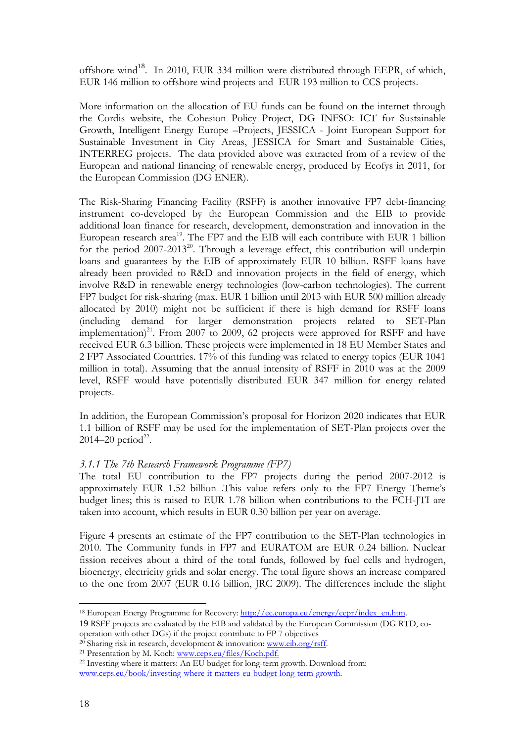offshore wind<sup>18</sup>. In 2010, EUR 334 million were distributed through EEPR, of which, EUR 146 million to offshore wind projects and EUR 193 million to CCS projects.

More information on the allocation of EU funds can be found on the internet through the Cordis website, the Cohesion Policy Project, DG INFSO: ICT for Sustainable Growth, Intelligent Energy Europe –Projects, JESSICA - Joint European Support for Sustainable Investment in City Areas, JESSICA for Smart and Sustainable Cities, INTERREG projects. The data provided above was extracted from of a review of the European and national financing of renewable energy, produced by Ecofys in 2011, for the European Commission (DG ENER).

The Risk-Sharing Financing Facility (RSFF) is another innovative FP7 debt-financing instrument co-developed by the European Commission and the EIB to provide additional loan finance for research, development, demonstration and innovation in the European research area<sup>19</sup>. The FP7 and the EIB will each contribute with EUR 1 billion for the period  $2007-2013^{20}$ . Through a leverage effect, this contribution will underpin loans and guarantees by the EIB of approximately EUR 10 billion. RSFF loans have already been provided to R&D and innovation projects in the field of energy, which involve R&D in renewable energy technologies (low-carbon technologies). The current FP7 budget for risk-sharing (max. EUR 1 billion until 2013 with EUR 500 million already allocated by 2010) might not be sufficient if there is high demand for RSFF loans (including demand for larger demonstration projects related to SET-Plan implementation)<sup>21</sup>. From 2007 to 2009, 62 projects were approved for RSFF and have received EUR 6.3 billion. These projects were implemented in 18 EU Member States and 2 FP7 Associated Countries. 17% of this funding was related to energy topics (EUR 1041 million in total). Assuming that the annual intensity of RSFF in 2010 was at the 2009 level, RSFF would have potentially distributed EUR 347 million for energy related projects.

In addition, the European Commission's proposal for Horizon 2020 indicates that EUR 1.1 billion of RSFF may be used for the implementation of SET-Plan projects over the  $2014 - 20$  period<sup>22</sup>.

## <span id="page-17-0"></span>*3.1.1 The 7th Research Framework Programme (FP7)*

The total EU contribution to the FP7 projects during the period 2007-2012 is approximately EUR 1.52 billion .This value refers only to the FP7 Energy Theme's budget lines; this is raised to EUR 1.78 billion when contributions to the FCH-JTI are taken into account, which results in EUR 0.30 billion per year on average.

Figure 4 presents an estimate of the FP7 contribution to the SET-Plan technologies in 2010. The Community funds in FP7 and EURATOM are EUR 0.24 billion. Nuclear fission receives about a third of the total funds, followed by fuel cells and hydrogen, bioenergy, electricity grids and solar energy. The total figure shows an increase compared to the one from 2007 (EUR 0.16 billion, JRC 2009). The differences include the slight

<sup>18</sup> European Energy Programme for Recovery: http://ec.europa.eu/energy/eepr/index\_en.htm.

<sup>19</sup> RSFF projects are evaluated by the EIB and validated by the European Commission (DG RTD, co-

<sup>&</sup>lt;sup>20</sup> Sharing risk in research, development & innovation: www.eib.org/rsff.<br><sup>21</sup> Presentation by M. Koch: www.ceps.eu/files/Koch.pdf.

<sup>&</sup>lt;sup>22</sup> Investing where it matters: An EU budget for long-term growth. Download from: www.ceps.eu/book/investing-where-it-matters-eu-budget-long-term-growth.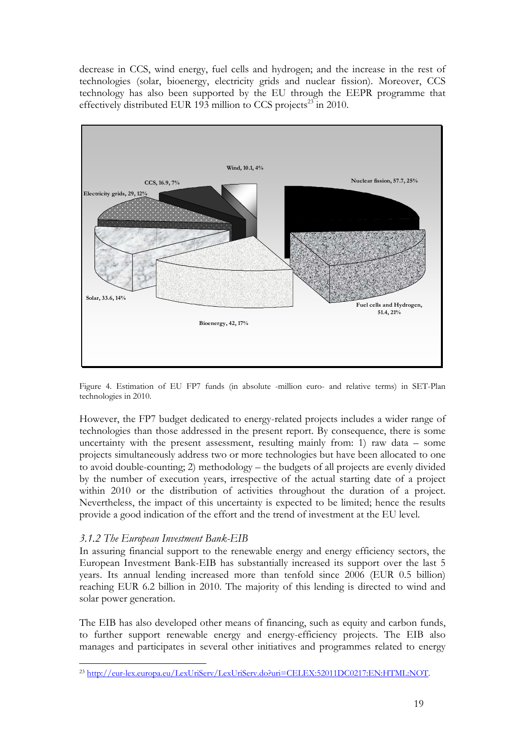decrease in CCS, wind energy, fuel cells and hydrogen; and the increase in the rest of technologies (solar, bioenergy, electricity grids and nuclear fission). Moreover, CCS technology has also been supported by the EU through the EEPR programme that effectively distributed EUR 193 million to CCS projects<sup>23</sup> in 2010.



Figure 4. Estimation of EU FP7 funds (in absolute -million euro- and relative terms) in SET-Plan technologies in 2010.

However, the FP7 budget dedicated to energy-related projects includes a wider range of technologies than those addressed in the present report. By consequence, there is some uncertainty with the present assessment, resulting mainly from: 1) raw data – some projects simultaneously address two or more technologies but have been allocated to one to avoid double-counting; 2) methodology – the budgets of all projects are evenly divided by the number of execution years, irrespective of the actual starting date of a project within 2010 or the distribution of activities throughout the duration of a project. Nevertheless, the impact of this uncertainty is expected to be limited; hence the results provide a good indication of the effort and the trend of investment at the EU level.

# <span id="page-18-0"></span>*3.1.2 The European Investment Bank-EIB*

In assuring financial support to the renewable energy and energy efficiency sectors, the European Investment Bank-EIB has substantially increased its support over the last 5 years. Its annual lending increased more than tenfold since 2006 (EUR 0.5 billion) reaching EUR 6.2 billion in 2010. The majority of this lending is directed to wind and solar power generation.

The EIB has also developed other means of financing, such as equity and carbon funds, to further support renewable energy and energy-efficiency projects. The EIB also manages and participates in several other initiatives and programmes related to energy

<sup>&</sup>lt;u>.</u> <sup>23</sup> http://eur-lex.europa.eu/LexUriServ/LexUriServ.do?uri=CELEX:52011DC0217:EN:HTML:NOT.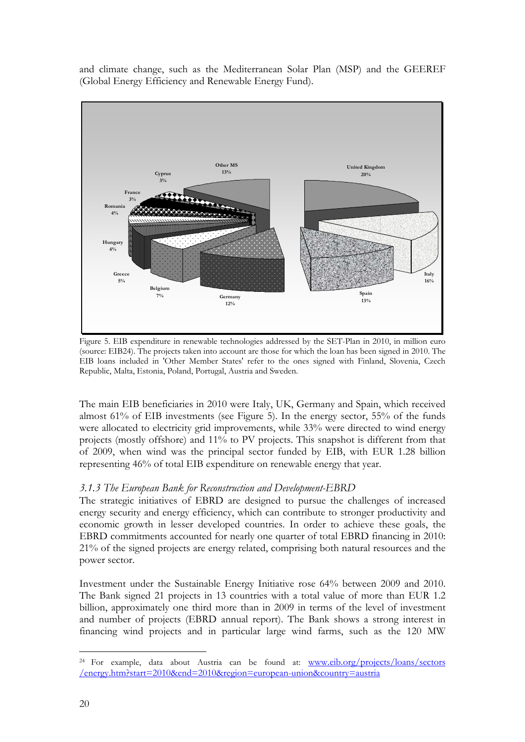and climate change, such as the [Mediterranean Solar Plan](http://www.un.org/millenniumgoals/) (MSP) and the [GEEREF](http://geeref.com/)  (Global Energy Efficiency and Renewable Energy Fund).



Figure 5. EIB expenditure in renewable technologies addressed by the SET-Plan in 2010, in million euro (source: EIB24). The projects taken into account are those for which the loan has been signed in 2010. The EIB loans included in 'Other Member States' refer to the ones signed with Finland, Slovenia, Czech Republic, Malta, Estonia, Poland, Portugal, Austria and Sweden.

The main EIB beneficiaries in 2010 were Italy, UK, Germany and Spain, which received almost 61% of EIB investments (see Figure 5). In the energy sector, 55% of the funds were allocated to electricity grid improvements, while 33% were directed to wind energy projects (mostly offshore) and 11% to PV projects. This snapshot is different from that of 2009, when wind was the principal sector funded by EIB, with EUR 1.28 billion representing 46% of total EIB expenditure on renewable energy that year.

# <span id="page-19-0"></span>*3.1.3 The European Bank for Reconstruction and Development-EBRD*

The strategic initiatives of EBRD are designed to pursue the challenges of increased energy security and energy efficiency, which can contribute to stronger productivity and economic growth in lesser developed countries. In order to achieve these goals, the EBRD commitments accounted for nearly one quarter of total EBRD financing in 2010: 21% of the signed projects are energy related, comprising both natural resources and the power sector.

Investment under the Sustainable Energy Initiative rose 64% between 2009 and 2010. The Bank signed 21 projects in 13 countries with a total value of more than EUR 1.2 billion, approximately one third more than in 2009 in terms of the level of investment and number of projects (EBRD annual report). The Bank shows a strong interest in financing wind projects and in particular large wind farms, such as the 120 MW

<sup>&</sup>lt;sup>24</sup> For example, data about Austria can be found at: www.eib.org/projects/loans/sectors [/energy.htm?start=2010&end=2010&region=european-union&country=austria](http://www.eib.org/projects/loans/sectors /energy.htm?start=2010&end=2010®ion=european-union&country=austria)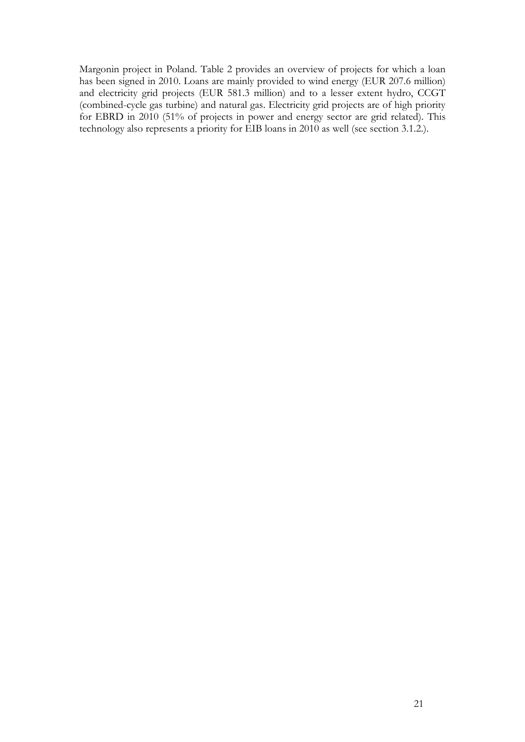Margonin project in Poland. Table 2 provides an overview of projects for which a loan has been signed in 2010. Loans are mainly provided to wind energy (EUR 207.6 million) and electricity grid projects (EUR 581.3 million) and to a lesser extent hydro, CCGT (combined-cycle gas turbine) and natural gas. Electricity grid projects are of high priority for EBRD in 2010 (51% of projects in power and energy sector are grid related). This technology also represents a priority for EIB loans in 2010 as well (see section 3.1.2.).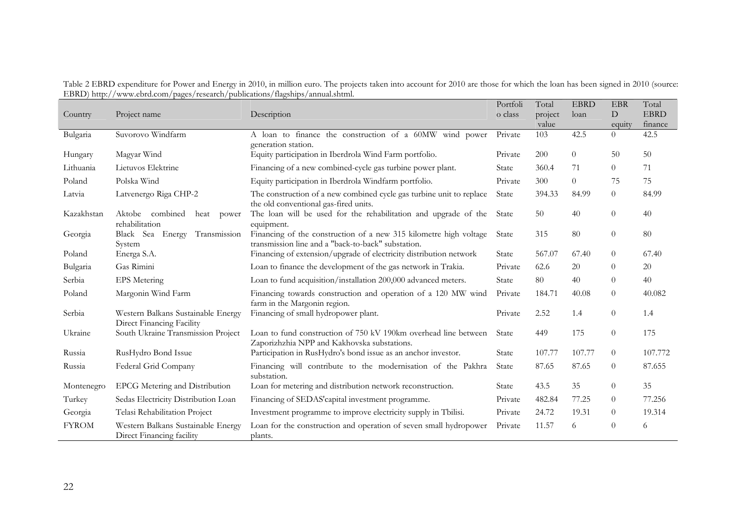| Table 2 EBRD expenditure for Power and Energy in 2010, in million euro. The projects taken into account for 2010 are those for which the loan has been signed in 2010 (source: |  |  |  |
|--------------------------------------------------------------------------------------------------------------------------------------------------------------------------------|--|--|--|
| EBRD) http://www.ebrd.com/pages/research/publications/flagships/annual.shtml.                                                                                                  |  |  |  |

|              |                                                                 |                                                                                                                         | Portfoli     | Total   | <b>EBRD</b>    | <b>EBR</b>     | Total       |
|--------------|-----------------------------------------------------------------|-------------------------------------------------------------------------------------------------------------------------|--------------|---------|----------------|----------------|-------------|
| Country      | Project name                                                    | Description                                                                                                             | o class      | project | loan           | D              | <b>EBRD</b> |
|              |                                                                 |                                                                                                                         |              | value   |                | equity         | finance     |
| Bulgaria     | Suvorovo Windfarm                                               | A loan to finance the construction of a 60MW wind power                                                                 | Private      | 103     | 42.5           | $\Omega$       | 42.5        |
|              |                                                                 | generation station.                                                                                                     |              |         |                |                |             |
| Hungary      | Magyar Wind                                                     | Equity participation in Iberdrola Wind Farm portfolio.                                                                  | Private      | 200     | $\overline{0}$ | 50             | 50          |
| Lithuania    | Lietuvos Elektrine                                              | Financing of a new combined-cycle gas turbine power plant.                                                              | State        | 360.4   | 71             | $\overline{0}$ | 71          |
| Poland       | Polska Wind                                                     | Equity participation in Iberdrola Windfarm portfolio.                                                                   | Private      | 300     | $\overline{0}$ | 75             | 75          |
| Latvia       | Latvenergo Riga CHP-2                                           | The construction of a new combined cycle gas turbine unit to replace<br>the old conventional gas-fired units.           | State        | 394.33  | 84.99          | $\overline{0}$ | 84.99       |
| Kazakhstan   | Aktobe combined<br>heat<br>power<br>rehabilitation              | The loan will be used for the rehabilitation and upgrade of the<br>equipment.                                           | State        | 50      | 40             | $\overline{0}$ | 40          |
| Georgia      | Black Sea Energy Transmission<br>System                         | Financing of the construction of a new 315 kilometre high voltage<br>transmission line and a "back-to-back" substation. | State        | 315     | 80             | $\theta$       | 80          |
| Poland       | Energa S.A.                                                     | Financing of extension/upgrade of electricity distribution network                                                      | State        | 567.07  | 67.40          | $\theta$       | 67.40       |
| Bulgaria     | Gas Rimini                                                      | Loan to finance the development of the gas network in Trakia.                                                           | Private      | 62.6    | 20             | $\theta$       | 20          |
| Serbia       | <b>EPS</b> Metering                                             | Loan to fund acquisition/installation 200,000 advanced meters.                                                          | State        | 80      | 40             | $\theta$       | 40          |
| Poland       | Margonin Wind Farm                                              | Financing towards construction and operation of a 120 MW wind<br>farm in the Margonin region.                           | Private      | 184.71  | 40.08          | $\theta$       | 40.082      |
| Serbia       | Western Balkans Sustainable Energy<br>Direct Financing Facility | Financing of small hydropower plant.                                                                                    | Private      | 2.52    | 1.4            | $\overline{0}$ | 1.4         |
| Ukraine      | South Ukraine Transmission Project                              | Loan to fund construction of 750 kV 190km overhead line between<br>Zaporizhzhia NPP and Kakhovska substations.          | State        | 449     | 175            | $\overline{0}$ | 175         |
| Russia       | RusHydro Bond Issue                                             | Participation in RusHydro's bond issue as an anchor investor.                                                           | State        | 107.77  | 107.77         | $\theta$       | 107.772     |
| Russia       | Federal Grid Company                                            | Financing will contribute to the modernisation of the Pakhra<br>substation.                                             | State        | 87.65   | 87.65          | $\theta$       | 87.655      |
| Montenegro   | EPCG Metering and Distribution                                  | Loan for metering and distribution network reconstruction.                                                              | <b>State</b> | 43.5    | 35             | $\theta$       | 35          |
| Turkey       | Sedas Electricity Distribution Loan                             | Financing of SEDAS' capital investment programme.                                                                       | Private      | 482.84  | 77.25          | $\theta$       | 77.256      |
| Georgia      | Telasi Rehabilitation Project                                   | Investment programme to improve electricity supply in Tbilisi.                                                          | Private      | 24.72   | 19.31          | $\theta$       | 19.314      |
| <b>FYROM</b> | Western Balkans Sustainable Energy<br>Direct Financing facility | Loan for the construction and operation of seven small hydropower<br>plants.                                            | Private      | 11.57   | 6              | $\theta$       | 6           |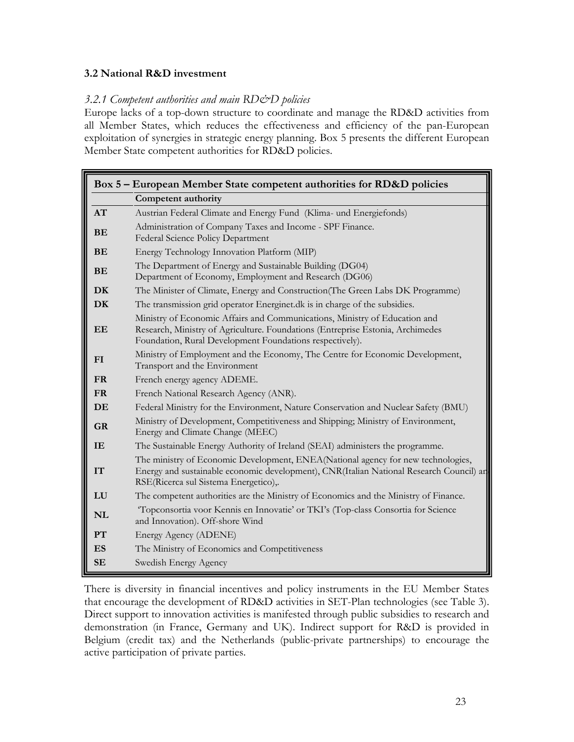## **3.2 National R&D investment**

#### *3.2.1 Competent authorities and main RD&D policies*

<span id="page-22-1"></span><span id="page-22-0"></span>Europe lacks of a top-down structure to coordinate and manage the RD&D activities from all Member States, which reduces the effectiveness and efficiency of the pan-European exploitation of synergies in strategic energy planning. Box 5 presents the different European Member State competent authorities for RD&D policies.

|           | Box 5 – European Member State competent authorities for RD&D policies                                                                                                                                                    |  |  |  |  |
|-----------|--------------------------------------------------------------------------------------------------------------------------------------------------------------------------------------------------------------------------|--|--|--|--|
|           | <b>Competent authority</b>                                                                                                                                                                                               |  |  |  |  |
| AT        | Austrian Federal Climate and Energy Fund (Klima- und Energiefonds)                                                                                                                                                       |  |  |  |  |
| <b>BE</b> | Administration of Company Taxes and Income - SPF Finance.<br>Federal Science Policy Department                                                                                                                           |  |  |  |  |
| <b>BE</b> | Energy Technology Innovation Platform (MIP)                                                                                                                                                                              |  |  |  |  |
| <b>BE</b> | The Department of Energy and Sustainable Building (DG04)<br>Department of Economy, Employment and Research (DG06)                                                                                                        |  |  |  |  |
| DK        | The Minister of Climate, Energy and Construction (The Green Labs DK Programme)                                                                                                                                           |  |  |  |  |
| <b>DK</b> | The transmission grid operator Energinet.dk is in charge of the subsidies.                                                                                                                                               |  |  |  |  |
| EE        | Ministry of Economic Affairs and Communications, Ministry of Education and<br>Research, Ministry of Agriculture. Foundations (Entreprise Estonia, Archimedes<br>Foundation, Rural Development Foundations respectively). |  |  |  |  |
| FI        | Ministry of Employment and the Economy, The Centre for Economic Development,<br>Transport and the Environment                                                                                                            |  |  |  |  |
| <b>FR</b> | French energy agency ADEME.                                                                                                                                                                                              |  |  |  |  |
| <b>FR</b> | French National Research Agency (ANR).                                                                                                                                                                                   |  |  |  |  |
| DE        | Federal Ministry for the Environment, Nature Conservation and Nuclear Safety (BMU)                                                                                                                                       |  |  |  |  |
| <b>GR</b> | Ministry of Development, Competitiveness and Shipping; Ministry of Environment,<br>Energy and Climate Change (MEEC)                                                                                                      |  |  |  |  |
| <b>IE</b> | The Sustainable Energy Authority of Ireland (SEAI) administers the programme.                                                                                                                                            |  |  |  |  |
| <b>IT</b> | The ministry of Economic Development, ENEA(National agency for new technologies,<br>Energy and sustainable economic development), CNR (Italian National Research Council) and<br>RSE(Ricerca sul Sistema Energetico),.   |  |  |  |  |
| LU        | The competent authorities are the Ministry of Economics and the Ministry of Finance.                                                                                                                                     |  |  |  |  |
| <b>NL</b> | Topconsortia voor Kennis en Innovatie' or TKI's (Top-class Consortia for Science<br>and Innovation). Off-shore Wind                                                                                                      |  |  |  |  |
| PT        | Energy Agency (ADENE)                                                                                                                                                                                                    |  |  |  |  |
| <b>ES</b> | The Ministry of Economics and Competitiveness                                                                                                                                                                            |  |  |  |  |
| <b>SE</b> | Swedish Energy Agency                                                                                                                                                                                                    |  |  |  |  |

There is diversity in financial incentives and policy instruments in the EU Member States that encourage the development of RD&D activities in SET-Plan technologies (see Table 3). Direct support to innovation activities is manifested through public subsidies to research and demonstration (in France, Germany and UK). Indirect support for R&D is provided in Belgium (credit tax) and the Netherlands (public-private partnerships) to encourage the active participation of private parties.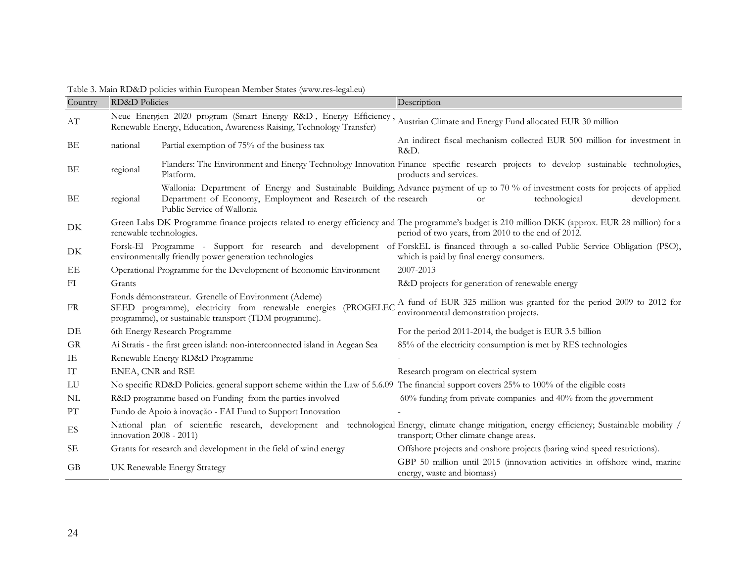| Country                  | <b>RD&amp;D</b> Policies |                                                                                                                                                                                                    | Description                                                                                                                                                                                              |
|--------------------------|--------------------------|----------------------------------------------------------------------------------------------------------------------------------------------------------------------------------------------------|----------------------------------------------------------------------------------------------------------------------------------------------------------------------------------------------------------|
| $\mathbf{A}\mathbf{T}$   |                          | Neue Energien 2020 program (Smart Energy R&D, Energy Efficiency, Austrian Climate and Energy Fund allocated EUR 30 million<br>Renewable Energy, Education, Awareness Raising, Technology Transfer) |                                                                                                                                                                                                          |
| ВE                       | national                 | Partial exemption of 75% of the business tax                                                                                                                                                       | An indirect fiscal mechanism collected EUR 500 million for investment in<br>R&D.                                                                                                                         |
| BE                       | regional                 | Platform.                                                                                                                                                                                          | Flanders: The Environment and Energy Technology Innovation Finance specific research projects to develop sustainable technologies,<br>products and services.                                             |
| BE                       | regional                 | Department of Economy, Employment and Research of the research<br>Public Service of Wallonia                                                                                                       | Wallonia: Department of Energy and Sustainable Building; Advance payment of up to 70 % of investment costs for projects of applied<br>technological<br>development.<br><sub>Or</sub>                     |
| $\rm DK$                 | renewable technologies.  |                                                                                                                                                                                                    | Green Labs DK Programme finance projects related to energy efficiency and The programme's budget is 210 million DKK (approx. EUR 28 million) for a<br>period of two years, from 2010 to the end of 2012. |
| DK                       |                          | environmentally friendly power generation technologies                                                                                                                                             | Forsk-El Programme - Support for research and development of ForskEL is financed through a so-called Public Service Obligation (PSO),<br>which is paid by final energy consumers.                        |
| EE                       |                          | Operational Programme for the Development of Economic Environment                                                                                                                                  | 2007-2013                                                                                                                                                                                                |
| FI                       | Grants                   |                                                                                                                                                                                                    | R&D projects for generation of renewable energy                                                                                                                                                          |
| FR                       |                          | Fonds démonstrateur. Grenelle of Environment (Ademe)<br>SEED programme), electricity from renewable energies<br>programme), or sustainable transport (TDM programme).                              | (PROGELEC A fund of EUR 325 million was granted for the period 2009 to 2012 for<br>environmental demonstration projects.                                                                                 |
| $\rm{DE}$                |                          | 6th Energy Research Programme                                                                                                                                                                      | For the period 2011-2014, the budget is EUR 3.5 billion                                                                                                                                                  |
| <b>GR</b>                |                          | Ai Stratis - the first green island: non-interconnected island in Aegean Sea                                                                                                                       | 85% of the electricity consumption is met by RES technologies                                                                                                                                            |
| IE                       |                          | Renewable Energy RD&D Programme                                                                                                                                                                    |                                                                                                                                                                                                          |
| ${\rm IT}$               | ENEA, CNR and RSE        |                                                                                                                                                                                                    | Research program on electrical system                                                                                                                                                                    |
| LU                       |                          | No specific RD&D Policies. general support scheme within the Law of 5.6.09 The financial support covers 25% to 100% of the eligible costs                                                          |                                                                                                                                                                                                          |
| NL                       |                          | R&D programme based on Funding from the parties involved                                                                                                                                           | $60\%$ funding from private companies and $40\%$ from the government                                                                                                                                     |
| $\mathcal{P}\mathcal{T}$ |                          | Fundo de Apoio à inovação - FAI Fund to Support Innovation                                                                                                                                         |                                                                                                                                                                                                          |
| ES                       | innovation 2008 - 2011)  |                                                                                                                                                                                                    | National plan of scientific research, development and technological Energy, climate change mitigation, energy efficiency; Sustainable mobility /<br>transport; Other climate change areas.               |
| SЕ                       |                          | Grants for research and development in the field of wind energy                                                                                                                                    | Offshore projects and onshore projects (baring wind speed restrictions).                                                                                                                                 |
| GB                       |                          | UK Renewable Energy Strategy                                                                                                                                                                       | GBP 50 million until 2015 (innovation activities in offshore wind, marine<br>energy, waste and biomass)                                                                                                  |

Table 3. Main RD&D policies within European Member States (www.res-legal.eu)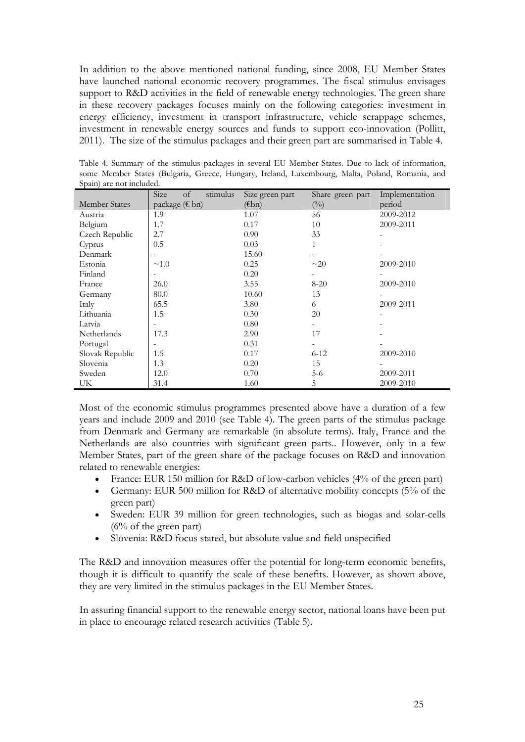In addition to the above mentioned national funding, since 2008, EU Member States have launched national economic recovery programmes. The fiscal stimulus envisages support to R&D activities in the field of renewable energy technologies. The green share in these recovery packages focuses mainly on the following categories: investment in energy efficiency, investment in transport infrastructure, vehicle scrappage schemes, investment in renewable energy sources and funds to support eco-innovation (Pollitt, 2011). The size of the stimulus packages and their green part are summarised in Table 4.

|                      | Size<br>of<br>stimulus | Size green part | Share green part | Implementation |
|----------------------|------------------------|-----------------|------------------|----------------|
| <b>Member States</b> | package (€ bn)         | $(\epsilon$ bn) | $\binom{0}{0}$   | period         |
| Austria              | 1.9                    | 1.07            | 56               | 2009-2012      |
| Belgium              | 1.7                    | 0.17            | 10               | 2009-2011      |
| Czech Republic       | 2.7                    | 0.90            | 33               |                |
| Cyprus               | 0.5                    | 0.03            | 1                |                |
| Denmark              |                        | 15.60           |                  |                |
| Estonia              | $\sim$ 1.0             | 0.25            | $\sim$ 20        | 2009-2010      |
| Finland              | ۰                      | 0.20            |                  |                |
| France               | 26.0                   | 3.55            | $8 - 20$         | 2009-2010      |
| Germany              | 80.0                   | 10.60           | 13               |                |
| Italy                | 65.5                   | 3.80            | 6                | 2009-2011      |
| Lithuania            | 1.5                    | 0.30            | 20               |                |
| Latvia               |                        | 0.80            |                  |                |
| Netherlands          | 17.3                   | 2.90            | 17               |                |
| Portugal             |                        | 0.31            |                  |                |
| Slovak Republic      | 1.5                    | 0.17            | $6 - 12$         | 2009-2010      |
| Slovenia             | 1.3                    | 0.20            | 15               |                |
| Sweden               | 12.0                   | 0.70            | $5-6$            | 2009-2011      |
| UK                   | 31.4                   | 1.60            | 5                | 2009-2010      |

Table 4. Summary of the stimulus packages in several EU Member States. Due to lack of information, some Member States (Bulgaria, Greece, Hungary, Ireland, Luxembourg, Malta, Poland, Romania, and Spain) are not included.

Most of the economic stimulus programmes presented above have a duration of a few years and include 2009 and 2010 (see Table 4). The green parts of the stimulus package from Denmark and Germany are remarkable (in absolute terms). Italy, France and the Netherlands are also countries with significant green parts.. However, only in a few Member States, part of the green share of the package focuses on R&D and innovation related to renewable energies:

- France: EUR 150 million for R&D of low-carbon vehicles (4% of the green part)
- Germany: EUR 500 million for R&D of alternative mobility concepts (5% of the green part)
- Sweden: EUR 39 million for green technologies, such as biogas and solar-cells  $(6\% \text{ of the green part})$
- Slovenia: R&D focus stated, but absolute value and field unspecified

The R&D and innovation measures offer the potential for long-term economic benefits, though it is difficult to quantify the scale of these benefits. However, as shown above, they are very limited in the stimulus packages in the EU Member States.

In assuring financial support to the renewable energy sector, national loans have been put in place to encourage related research activities (Table 5).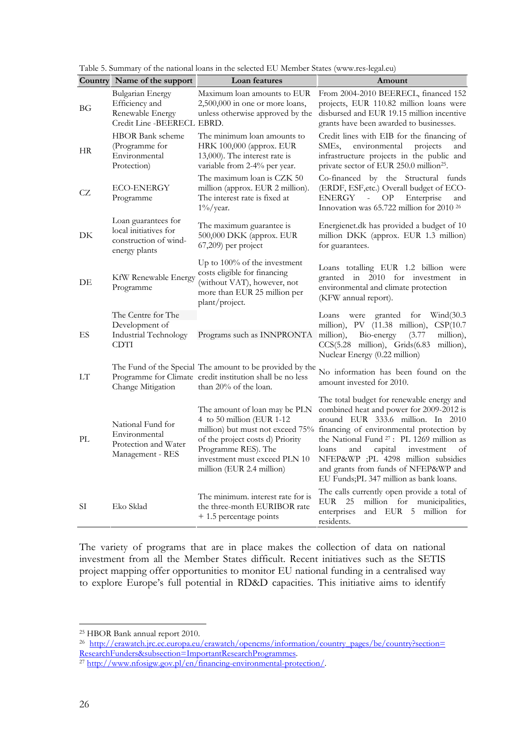|           | Country Name of the support                                                            | Loan features                                                                                                                                                                       | Amount                                                                                                                                                                                                                                                                                                                                                                                                                                  |
|-----------|----------------------------------------------------------------------------------------|-------------------------------------------------------------------------------------------------------------------------------------------------------------------------------------|-----------------------------------------------------------------------------------------------------------------------------------------------------------------------------------------------------------------------------------------------------------------------------------------------------------------------------------------------------------------------------------------------------------------------------------------|
| ВG        | Bulgarian Energy<br>Efficiency and<br>Renewable Energy<br>Credit Line - BEERECL EBRD.  | Maximum loan amounts to EUR<br>2,500,000 in one or more loans,<br>unless otherwise approved by the                                                                                  | From 2004-2010 BEERECL, financed 152<br>projects, EUR 110.82 million loans were<br>disbursed and EUR 19.15 million incentive<br>grants have been awarded to businesses.                                                                                                                                                                                                                                                                 |
| <b>HR</b> | <b>HBOR Bank scheme</b><br>(Programme for<br>Environmental<br>Protection)              | The minimum loan amounts to<br>HRK 100,000 (approx. EUR<br>13,000). The interest rate is<br>variable from 2-4% per year.                                                            | Credit lines with EIB for the financing of<br>environmental<br>SMEs,<br>projects<br>and<br>infrastructure projects in the public and<br>private sector of EUR 250.0 million <sup>25</sup> .                                                                                                                                                                                                                                             |
| CZ        | <b>ECO-ENERGY</b><br>Programme                                                         | The maximum loan is CZK 50<br>million (approx. EUR 2 million).<br>The interest rate is fixed at<br>$1\%$ /year.                                                                     | Co-financed by the Structural funds<br>(ERDF, ESF, etc.) Overall budget of ECO-<br>ENERGY<br>${\rm OP}$<br>Enterprise<br>and<br>$\blacksquare$<br>Innovation was 65.722 million for 2010 <sup>26</sup>                                                                                                                                                                                                                                  |
| DK        | Loan guarantees for<br>local initiatives for<br>construction of wind-<br>energy plants | The maximum guarantee is<br>500,000 DKK (approx. EUR<br>67,209) per project                                                                                                         | Energienet.dk has provided a budget of 10<br>million DKK (approx. EUR 1.3 million)<br>for guarantees.                                                                                                                                                                                                                                                                                                                                   |
| DE        | KfW Renewable Energy<br>Programme                                                      | Up to 100% of the investment<br>costs eligible for financing<br>(without VAT), however, not<br>more than EUR 25 million per<br>plant/project.                                       | Loans totalling EUR 1.2 billion were<br>granted in 2010 for investment<br>in<br>environmental and climate protection<br>(KFW annual report).                                                                                                                                                                                                                                                                                            |
| ES        | The Centre for The<br>Development of<br>Industrial Technology<br><b>CDTI</b>           | Programs such as INNPRONTA                                                                                                                                                          | granted<br>for<br>Window(30.3)<br>Loans<br>were<br>million), PV (11.38 million),<br>CSP(10.7)<br>million),<br>Bio-energy<br>(3.77)<br>million),<br>CCS(5.28 million), Grids(6.83<br>million),<br>Nuclear Energy (0.22 million)                                                                                                                                                                                                          |
| LT        | Change Mitigation                                                                      | The Fund of the Special The amount to be provided by the<br>Programme for Climate credit institution shall be no less<br>than 20% of the loan.                                      | No information has been found on the<br>amount invested for 2010.                                                                                                                                                                                                                                                                                                                                                                       |
| PL        | National Fund for<br>Environmental<br>Protection and Water<br>Management - RES         | The amount of loan may be PLN<br>4 to 50 million (EUR 1-12<br>of the project costs d) Priority<br>Programme RES). The<br>investment must exceed PLN 10<br>million (EUR 2.4 million) | The total budget for renewable energy and<br>combined heat and power for 2009-2012 is<br>around EUR 333.6 million. In 2010<br>million) but must not exceed 75% financing of environmental protection by<br>the National Fund <sup>27</sup> : PL 1269 million as<br>capital<br>investment<br>loans<br>and<br>οf<br>NFEP&WP ;PL 4298 million subsidies<br>and grants from funds of NFEP&WP and<br>EU Funds; PL 347 million as bank loans. |
| SI        | Eko Sklad                                                                              | The minimum. interest rate for is<br>the three-month EURIBOR rate<br>+ 1.5 percentage points                                                                                        | The calls currently open provide a total of<br>EUR<br>25<br>million for municipalities,<br>enterprises<br>and EUR 5 million for<br>residents.                                                                                                                                                                                                                                                                                           |

Table 5. Summary of the national loans in the selected EU Member States (www.res-legal.eu)

The variety of programs that are in place makes the collection of data on national investment from all the Member States difficult. Recent initiatives such as the SETIS project mapping offer opportunities to monitor EU national funding in a centralised way to explore Europe's full potential in RD&D capacities. This initiative aims to identify

<sup>26</sup> http://erawatch.jrc.ec.europa.eu/erawatch/opencms/information/country\_pages/be/country?section= ResearchFunders&subsection=ImportantResearchProgrammes. 27 http://www.nfosigw.gov.pl/en/financing-environmental-protection/.

<sup>25</sup> HBOR Bank annual report 2010.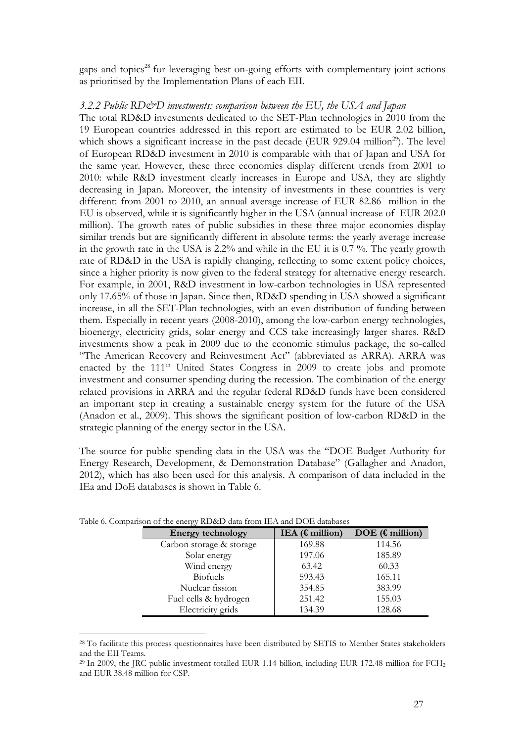gaps and topics<sup>28</sup> for leveraging best on-going efforts with complementary joint actions as prioritised by the Implementation Plans of each EII.

## <span id="page-26-0"></span>*3.2.2 Public RD&D investments: comparison between the EU, the USA and Japan*

The total RD&D investments dedicated to the SET-Plan technologies in 2010 from the 19 European countries addressed in this report are estimated to be EUR 2.02 billion, which shows a significant increase in the past decade (EUR 929.04 million<sup>29</sup>). The level of European RD&D investment in 2010 is comparable with that of Japan and USA for the same year. However, these three economies display different trends from 2001 to 2010: while R&D investment clearly increases in Europe and USA, they are slightly decreasing in Japan. Moreover, the intensity of investments in these countries is very different: from 2001 to 2010, an annual average increase of EUR 82.86 million in the EU is observed, while it is significantly higher in the USA (annual increase of EUR 202.0 million). The growth rates of public subsidies in these three major economies display similar trends but are significantly different in absolute terms: the yearly average increase in the growth rate in the USA is 2.2% and while in the EU it is 0.7 %. The yearly growth rate of RD&D in the USA is rapidly changing, reflecting to some extent policy choices, since a higher priority is now given to the federal strategy for alternative energy research. For example, in 2001, R&D investment in low-carbon technologies in USA represented only 17.65% of those in Japan. Since then, RD&D spending in USA showed a significant increase, in all the SET-Plan technologies, with an even distribution of funding between them. Especially in recent years (2008-2010), among the low-carbon energy technologies, bioenergy, electricity grids, solar energy and CCS take increasingly larger shares. R&D investments show a peak in 2009 due to the economic stimulus package, the so-called "The American Recovery and Reinvestment Act" (abbreviated as ARRA). ARRA was enacted by the  $111<sup>th</sup>$  United States Congress in 2009 to create jobs and promote investment and consumer spending during the recession. The combination of the energy related provisions in ARRA and the regular federal RD&D funds have been considered an important step in creating a sustainable energy system for the future of the USA (Anadon et al., 2009). This shows the significant position of low-carbon RD&D in the strategic planning of the energy sector in the USA.

The source for public spending data in the USA was the "DOE Budget Authority for Energy Research, Development, & Demonstration Database" (Gallagher and Anadon, 2012), which has also been used for this analysis. A comparison of data included in the IEa and DoE databases is shown in Table 6.

| $\alpha$ anson of the energy KD&D data from text and DOE databases |  |                           |                           |  |  |
|--------------------------------------------------------------------|--|---------------------------|---------------------------|--|--|
| <b>Energy technology</b>                                           |  | IEA ( $\epsilon$ million) | DOE ( $\epsilon$ million) |  |  |
| Carbon storage & storage                                           |  | 169.88                    | 114.56                    |  |  |
| Solar energy                                                       |  | 197.06                    | 185.89                    |  |  |
| Wind energy                                                        |  | 63.42                     | 60.33                     |  |  |
| <b>Biofuels</b>                                                    |  | 593.43                    | 165.11                    |  |  |
| Nuclear fission                                                    |  | 354.85                    | 383.99                    |  |  |
| Fuel cells & hydrogen                                              |  | 251.42                    | 155.03                    |  |  |
| Electricity grids                                                  |  | 134.39                    | 128.68                    |  |  |

Table 6. Comparison of the energy RD&D data from IEA and DOE databases

<sup>&</sup>lt;sup>28</sup> To facilitate this process questionnaires have been distributed by SETIS to Member States stakeholders and the EII Teams.

<sup>&</sup>lt;sup>29</sup> In 2009, the JRC public investment totalled EUR 1.14 billion, including EUR 172.48 million for FCH<sub>2</sub> and EUR 38.48 million for CSP.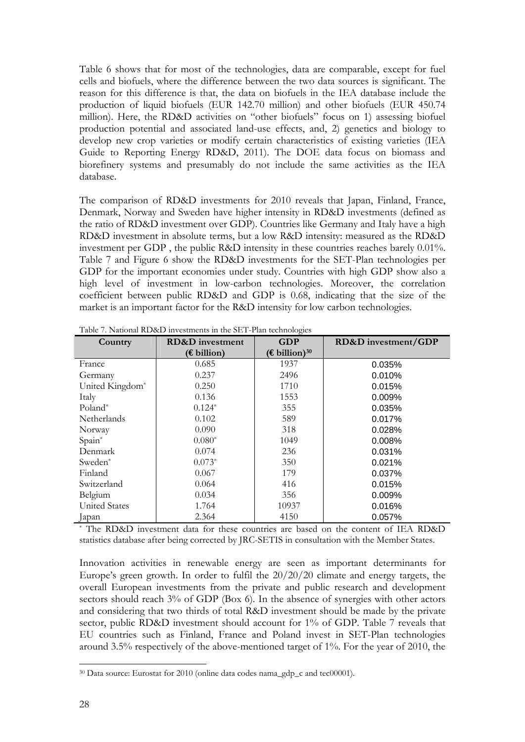Table 6 shows that for most of the technologies, data are comparable, except for fuel cells and biofuels, where the difference between the two data sources is significant. The reason for this difference is that, the data on biofuels in the IEA database include the production of liquid biofuels (EUR 142.70 million) and other biofuels (EUR 450.74 million). Here, the RD&D activities on "other biofuels" focus on 1) assessing biofuel production potential and associated land-use effects, and, 2) genetics and biology to develop new crop varieties or modify certain characteristics of existing varieties (IEA Guide to Reporting Energy RD&D, 2011). The DOE data focus on biomass and biorefinery systems and presumably do not include the same activities as the IEA database.

The comparison of RD&D investments for 2010 reveals that Japan, Finland, France, Denmark, Norway and Sweden have higher intensity in RD&D investments (defined as the ratio of RD&D investment over GDP). Countries like Germany and Italy have a high RD&D investment in absolute terms, but a low R&D intensity: measured as the RD&D investment per GDP , the public R&D intensity in these countries reaches barely 0.01%. Table 7 and Figure 6 show the RD&D investments for the SET-Plan technologies per GDP for the important economies under study. Countries with high GDP show also a high level of investment in low-carbon technologies. Moreover, the correlation coefficient between public RD&D and GDP is 0.68, indicating that the size of the market is an important factor for the R&D intensity for low carbon technologies.

| Country              | <b>RD&amp;D</b> investment | <b>GDP</b>                | RD&D investment/GDP |
|----------------------|----------------------------|---------------------------|---------------------|
|                      | $(E$ billion)              | (€ billion) <sup>30</sup> |                     |
| France               | 0.685                      | 1937                      | 0.035%              |
| Germany              | 0.237                      | 2496                      | 0.010%              |
| United Kingdom*      | 0.250                      | 1710                      | 0.015%              |
| Italy                | 0.136                      | 1553                      | 0.009%              |
| Poland <sup>*</sup>  | $0.124*$                   | 355                       | 0.035%              |
| Netherlands          | 0.102                      | 589                       | 0.017%              |
| Norway               | 0.090                      | 318                       | 0.028%              |
| Spain*               | $0.080*$                   | 1049                      | 0.008%              |
| Denmark              | 0.074                      | 236                       | 0.031%              |
| Sweden*              | $0.073*$                   | 350                       | 0.021%              |
| Finland              | 0.067                      | 179                       | 0.037%              |
| Switzerland          | 0.064                      | 416                       | 0.015%              |
| Belgium              | 0.034                      | 356                       | 0.009%              |
| <b>United States</b> | 1.764                      | 10937                     | 0.016%              |
| Japan                | 2.364                      | 4150                      | 0.057%              |

Table 7. National RD&D investments in the SET-Plan technologies

\* The RD&D investment data for these countries are based on the content of IEA RD&D statistics database after being corrected by JRC-SETIS in consultation with the Member States.

Innovation activities in renewable energy are seen as important determinants for Europe's green growth. In order to fulfil the 20/20/20 climate and energy targets, the overall European investments from the private and public research and development sectors should reach 3% of GDP (Box 6). In the absence of synergies with other actors and considering that two thirds of total R&D investment should be made by the private sector, public RD&D investment should account for 1% of GDP. Table 7 reveals that EU countries such as Finland, France and Poland invest in SET-Plan technologies around 3.5% respectively of the above-mentioned target of 1%. For the year of 2010, the

 $30$  Data source: Eurostat for 2010 (online data codes nama\_gdp\_c and tec00001).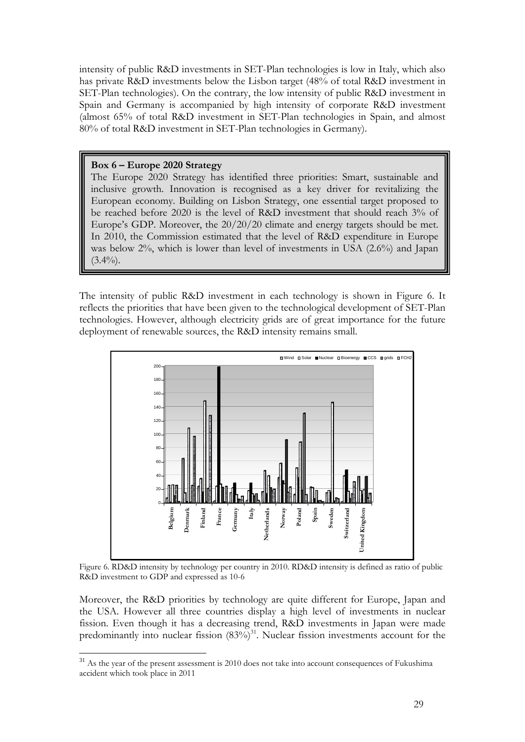intensity of public R&D investments in SET-Plan technologies is low in Italy, which also has private R&D investments below the Lisbon target (48% of total R&D investment in SET-Plan technologies). On the contrary, the low intensity of public R&D investment in Spain and Germany is accompanied by high intensity of corporate R&D investment (almost 65% of total R&D investment in SET-Plan technologies in Spain, and almost 80% of total R&D investment in SET-Plan technologies in Germany).

## **Box 6 – Europe 2020 Strategy**

<u>.</u>

The Europe 2020 Strategy has identified three priorities: Smart, sustainable and inclusive growth. Innovation is recognised as a key driver for revitalizing the European economy. Building on Lisbon Strategy, one essential target proposed to be reached before 2020 is the level of R&D investment that should reach 3% of Europe's GDP. Moreover, the 20/20/20 climate and energy targets should be met. In 2010, the Commission estimated that the level of R&D expenditure in Europe was below 2%, which is lower than level of investments in USA (2.6%) and Japan  $(3.4\%)$ .

The intensity of public R&D investment in each technology is shown in Figure 6. It reflects the priorities that have been given to the technological development of SET-Plan technologies. However, although electricity grids are of great importance for the future deployment of renewable sources, the R&D intensity remains small.



Figure 6. RD&D intensity by technology per country in 2010. RD&D intensity is defined as ratio of public R&D investment to GDP and expressed as 10-6

Moreover, the R&D priorities by technology are quite different for Europe, Japan and the USA. However all three countries display a high level of investments in nuclear fission. Even though it has a decreasing trend, R&D investments in Japan were made predominantly into nuclear fission  $(83\%)$ <sup>31</sup>. Nuclear fission investments account for the

<sup>&</sup>lt;sup>31</sup> As the year of the present assessment is 2010 does not take into account consequences of Fukushima accident which took place in 2011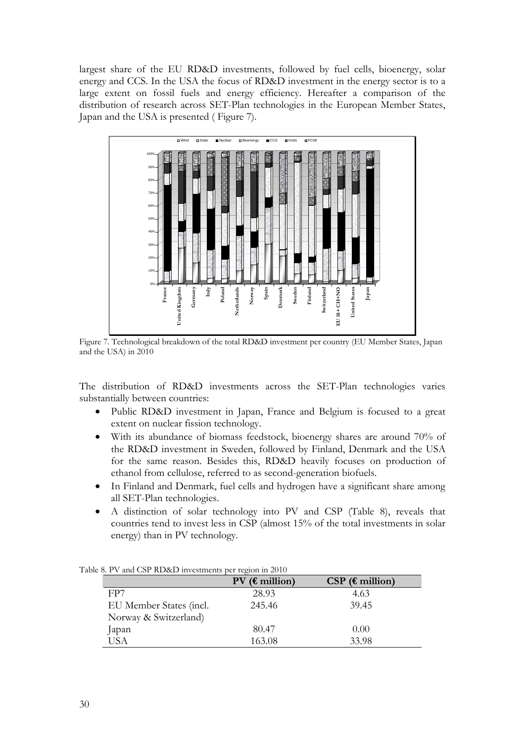largest share of the EU RD&D investments, followed by fuel cells, bioenergy, solar energy and CCS. In the USA the focus of RD&D investment in the energy sector is to a large extent on fossil fuels and energy efficiency. Hereafter a comparison of the distribution of research across SET-Plan technologies in the European Member States, Japan and the USA is presented ( Figure 7).



Figure 7. Technological breakdown of the total RD&D investment per country (EU Member States, Japan and the USA) in 2010

The distribution of RD&D investments across the SET-Plan technologies varies substantially between countries:

- Public RD&D investment in Japan, France and Belgium is focused to a great extent on nuclear fission technology.
- With its abundance of biomass feedstock, bioenergy shares are around 70% of the RD&D investment in Sweden, followed by Finland, Denmark and the USA for the same reason. Besides this, RD&D heavily focuses on production of ethanol from cellulose, referred to as second-generation biofuels.
- In Finland and Denmark, fuel cells and hydrogen have a significant share among all SET-Plan technologies.
- A distinction of solar technology into PV and CSP (Table 8), reveals that countries tend to invest less in CSP (almost 15% of the total investments in solar energy) than in PV technology.

|                         | $PV$ ( $\epsilon$ million) | $CSP$ ( $\epsilon$ million) |
|-------------------------|----------------------------|-----------------------------|
| FP7                     | 28.93                      | 4.63                        |
| EU Member States (incl. | 245.46                     | 39.45                       |
| Norway & Switzerland)   |                            |                             |
| Japan                   | 80.47                      | 0.00                        |
| USA                     | 163.08                     | 33.98                       |

Table 8. PV and CSP RD&D investments per region in 2010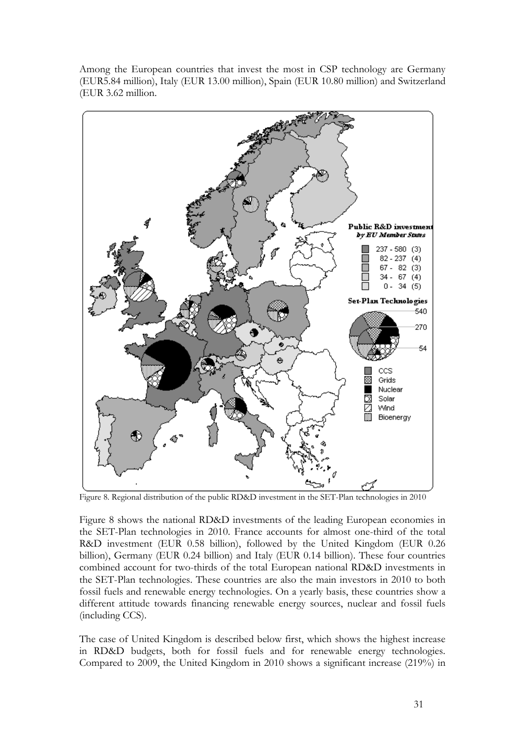Among the European countries that invest the most in CSP technology are Germany (EUR5.84 million), Italy (EUR 13.00 million), Spain (EUR 10.80 million) and Switzerland (EUR 3.62 million.



Figure 8. Regional distribution of the public RD&D investment in the SET-Plan technologies in 2010

Figure 8 shows the national RD&D investments of the leading European economies in the SET-Plan technologies in 2010. France accounts for almost one-third of the total R&D investment (EUR 0.58 billion), followed by the United Kingdom (EUR 0.26 billion), Germany (EUR 0.24 billion) and Italy (EUR 0.14 billion). These four countries combined account for two-thirds of the total European national RD&D investments in the SET-Plan technologies. These countries are also the main investors in 2010 to both fossil fuels and renewable energy technologies. On a yearly basis, these countries show a different attitude towards financing renewable energy sources, nuclear and fossil fuels (including CCS).

The case of United Kingdom is described below first, which shows the highest increase in RD&D budgets, both for fossil fuels and for renewable energy technologies. Compared to 2009, the United Kingdom in 2010 shows a significant increase (219%) in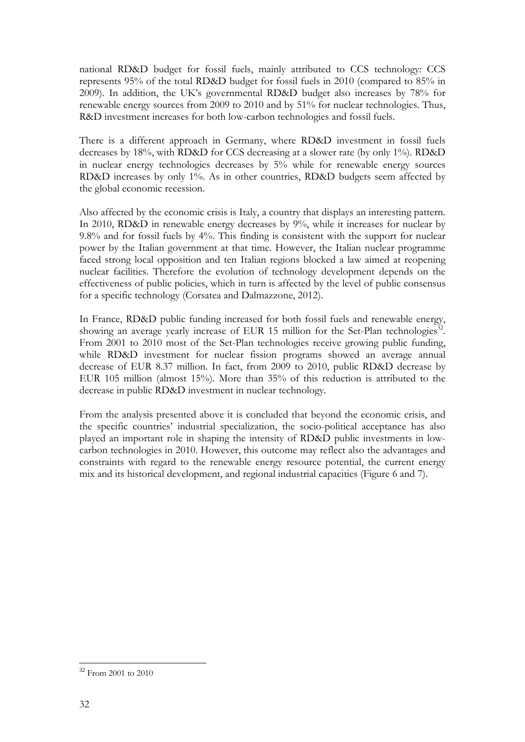national RD&D budget for fossil fuels, mainly attributed to CCS technology: CCS represents 95% of the total RD&D budget for fossil fuels in 2010 (compared to 85% in 2009). In addition, the UK's governmental RD&D budget also increases by 78% for renewable energy sources from 2009 to 2010 and by 51% for nuclear technologies. Thus, R&D investment increases for both low-carbon technologies and fossil fuels.

There is a different approach in Germany, where RD&D investment in fossil fuels decreases by 18%, with RD&D for CCS decreasing at a slower rate (by only 1%). RD&D in nuclear energy technologies decreases by 5% while for renewable energy sources RD&D increases by only 1%. As in other countries, RD&D budgets seem affected by the global economic recession.

Also affected by the economic crisis is Italy, a country that displays an interesting pattern. In 2010, RD&D in renewable energy decreases by 9%, while it increases for nuclear by 9.8% and for fossil fuels by 4%. This finding is consistent with the support for nuclear power by the Italian government at that time. However, the Italian nuclear programme faced strong local opposition and ten Italian regions blocked a law aimed at reopening nuclear facilities. Therefore the evolution of technology development depends on the effectiveness of public policies, which in turn is affected by the level of public consensus for a specific technology (Corsatea and Dalmazzone, 2012).

In France, RD&D public funding increased for both fossil fuels and renewable energy, showing an average yearly increase of EUR 15 million for the Set-Plan technologies<sup>32</sup>. From 2001 to 2010 most of the Set-Plan technologies receive growing public funding, while RD&D investment for nuclear fission programs showed an average annual decrease of EUR 8.37 million. In fact, from 2009 to 2010, public RD&D decrease by EUR 105 million (almost 15%). More than 35% of this reduction is attributed to the decrease in public RD&D investment in nuclear technology.

From the analysis presented above it is concluded that beyond the economic crisis, and the specific countries' industrial specialization, the socio-political acceptance has also played an important role in shaping the intensity of RD&D public investments in lowcarbon technologies in 2010. However, this outcome may reflect also the advantages and constraints with regard to the renewable energy resource potential, the current energy mix and its historical development, and regional industrial capacities (Figure 6 and 7).

<sup>32</sup> From 2001 to 2010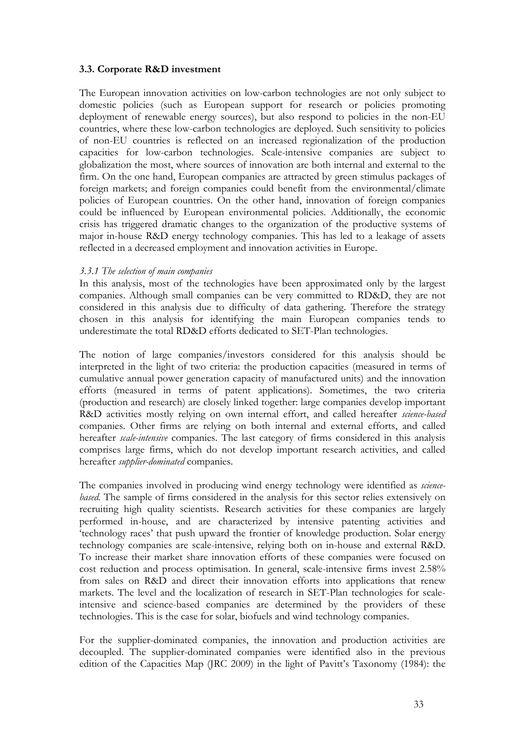## <span id="page-32-0"></span>**3.3. Corporate R&D investment**

The European innovation activities on low-carbon technologies are not only subject to domestic policies (such as European support for research or policies promoting deployment of renewable energy sources), but also respond to policies in the non-EU countries, where these low-carbon technologies are deployed. Such sensitivity to policies of non-EU countries is reflected on an increased regionalization of the production capacities for low-carbon technologies. Scale-intensive companies are subject to globalization the most, where sources of innovation are both internal and external to the firm. On the one hand, European companies are attracted by green stimulus packages of foreign markets; and foreign companies could benefit from the environmental/climate policies of European countries. On the other hand, innovation of foreign companies could be influenced by European environmental policies. Additionally, the economic crisis has triggered dramatic changes to the organization of the productive systems of major in-house R&D energy technology companies. This has led to a leakage of assets reflected in a decreased employment and innovation activities in Europe.

#### <span id="page-32-1"></span>*3.3.1 The selection of main companies*

In this analysis, most of the technologies have been approximated only by the largest companies. Although small companies can be very committed to RD&D, they are not considered in this analysis due to difficulty of data gathering. Therefore the strategy chosen in this analysis for identifying the main European companies tends to underestimate the total RD&D efforts dedicated to SET-Plan technologies.

The notion of large companies/investors considered for this analysis should be interpreted in the light of two criteria: the production capacities (measured in terms of cumulative annual power generation capacity of manufactured units) and the innovation efforts (measured in terms of patent applications). Sometimes, the two criteria (production and research) are closely linked together: large companies develop important R&D activities mostly relying on own internal effort, and called hereafter *science-based* companies. Other firms are relying on both internal and external efforts, and called hereafter *scale-intensive* companies. The last category of firms considered in this analysis comprises large firms, which do not develop important research activities, and called hereafter *supplier-dominated* companies.

The companies involved in producing wind energy technology were identified as *sciencebased.* The sample of firms considered in the analysis for this sector relies extensively on recruiting high quality scientists. Research activities for these companies are largely performed in-house, and are characterized by intensive patenting activities and 'technology races' that push upward the frontier of knowledge production. Solar energy technology companies are scale-intensive, relying both on in-house and external R&D. To increase their market share innovation efforts of these companies were focused on cost reduction and process optimisation. In general, scale-intensive firms invest 2.58% from sales on R&D and direct their innovation efforts into applications that renew markets. The level and the localization of research in SET-Plan technologies for scaleintensive and science-based companies are determined by the providers of these technologies. This is the case for solar, biofuels and wind technology companies.

For the supplier-dominated companies, the innovation and production activities are decoupled. The supplier-dominated companies were identified also in the previous edition of the Capacities Map (JRC 2009) in the light of Pavitt's Taxonomy (1984): the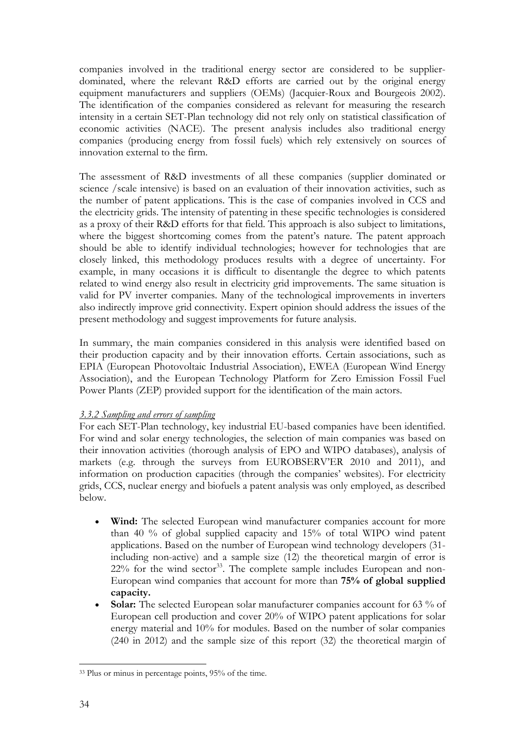companies involved in the traditional energy sector are considered to be supplierdominated, where the relevant R&D efforts are carried out by the original energy equipment manufacturers and suppliers (OEMs) (Jacquier-Roux and Bourgeois 2002). The identification of the companies considered as relevant for measuring the research intensity in a certain SET-Plan technology did not rely only on statistical classification of economic activities (NACE). The present analysis includes also traditional energy companies (producing energy from fossil fuels) which rely extensively on sources of innovation external to the firm.

The assessment of R&D investments of all these companies (supplier dominated or science /scale intensive) is based on an evaluation of their innovation activities, such as the number of patent applications. This is the case of companies involved in CCS and the electricity grids. The intensity of patenting in these specific technologies is considered as a proxy of their R&D efforts for that field. This approach is also subject to limitations, where the biggest shortcoming comes from the patent's nature. The patent approach should be able to identify individual technologies; however for technologies that are closely linked, this methodology produces results with a degree of uncertainty. For example, in many occasions it is difficult to disentangle the degree to which patents related to wind energy also result in electricity grid improvements. The same situation is valid for PV inverter companies. Many of the technological improvements in inverters also indirectly improve grid connectivity. Expert opinion should address the issues of the present methodology and suggest improvements for future analysis.

In summary, the main companies considered in this analysis were identified based on their production capacity and by their innovation efforts. Certain associations, such as EPIA (European Photovoltaic Industrial Association), EWEA (European Wind Energy Association), and the European Technology Platform for Zero Emission Fossil Fuel Power Plants (ZEP) provided support for the identification of the main actors.

## <span id="page-33-0"></span>*3.3.2 Sampling and errors of sampling*

For each SET-Plan technology, key industrial EU-based companies have been identified. For wind and solar energy technologies, the selection of main companies was based on their innovation activities (thorough analysis of EPO and WIPO databases), analysis of markets (e.g. through the surveys from EUROBSERV'ER 2010 and 2011), and information on production capacities (through the companies' websites). For electricity grids, CCS, nuclear energy and biofuels a patent analysis was only employed, as described below.

- Wind: The selected European wind manufacturer companies account for more than 40 % of global supplied capacity and 15% of total WIPO wind patent applications. Based on the number of European wind technology developers (31 including non-active) and a sample size (12) the theoretical margin of error is 22% for the wind sector<sup>33</sup>. The complete sample includes European and non-European wind companies that account for more than **75% of global supplied capacity.**
- **Solar:** The selected European solar manufacturer companies account for 63 % of European cell production and cover 20% of WIPO patent applications for solar energy material and 10% for modules. Based on the number of solar companies (240 in 2012) and the sample size of this report (32) the theoretical margin of

<sup>&</sup>lt;u>.</u> 33 Plus or minus in percentage points, 95% of the time.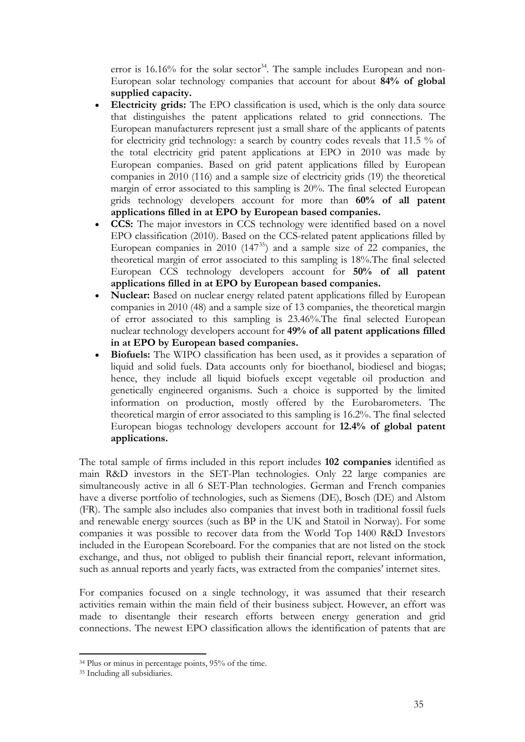error is  $16.16\%$  for the solar sector<sup>34</sup>. The sample includes European and non-European solar technology companies that account for about **84% of global supplied capacity.**

- **Electricity grids:** The EPO classification is used, which is the only data source that distinguishes the patent applications related to grid connections. The European manufacturers represent just a small share of the applicants of patents for electricity grid technology: a search by country codes reveals that 11.5 % of the total electricity grid patent applications at EPO in 2010 was made by European companies. Based on grid patent applications filled by European companies in 2010 (116) and a sample size of electricity grids (19) the theoretical margin of error associated to this sampling is 20%. The final selected European grids technology developers account for more than **60% of all patent applications filled in at EPO by European based companies.**
- **CCS:** The major investors in CCS technology were identified based on a novel EPO classification (2010). Based on the CCS-related patent applications filled by European companies in  $2010$   $(147^{35})$  and a sample size of  $22$  companies, the theoretical margin of error associated to this sampling is 18%.The final selected European CCS technology developers account for **50% of all patent applications filled in at EPO by European based companies.**
- **Nuclear:** Based on nuclear energy related patent applications filled by European companies in 2010 (48) and a sample size of 13 companies, the theoretical margin of error associated to this sampling is 23.46%.The final selected European nuclear technology developers account for **49% of all patent applications filled in at EPO by European based companies.**
- **Biofuels:** The WIPO classification has been used, as it provides a separation of liquid and solid fuels. Data accounts only for bioethanol, biodiesel and biogas; hence, they include all liquid biofuels except vegetable oil production and genetically engineered organisms. Such a choice is supported by the limited information on production, mostly offered by the Eurobarometers. The theoretical margin of error associated to this sampling is 16.2%. The final selected European biogas technology developers account for **12.4% of global patent applications.**

The total sample of firms included in this report includes **102 companies** identified as main R&D investors in the SET-Plan technologies. Only 22 large companies are simultaneously active in all 6 SET-Plan technologies. German and French companies have a diverse portfolio of technologies, such as Siemens (DE), Bosch (DE) and Alstom (FR). The sample also includes also companies that invest both in traditional fossil fuels and renewable energy sources (such as BP in the UK and Statoil in Norway). For some companies it was possible to recover data from the World Top 1400 R&D Investors included in the European Scoreboard. For the companies that are not listed on the stock exchange, and thus, not obliged to publish their financial report, relevant information, such as annual reports and yearly facts, was extracted from the companies' internet sites.

For companies focused on a single technology, it was assumed that their research activities remain within the main field of their business subject. However, an effort was made to disentangle their research efforts between energy generation and grid connections. The newest EPO classification allows the identification of patents that are

<sup>34</sup> Plus or minus in percentage points, 95% of the time.

<sup>35</sup> Including all subsidiaries.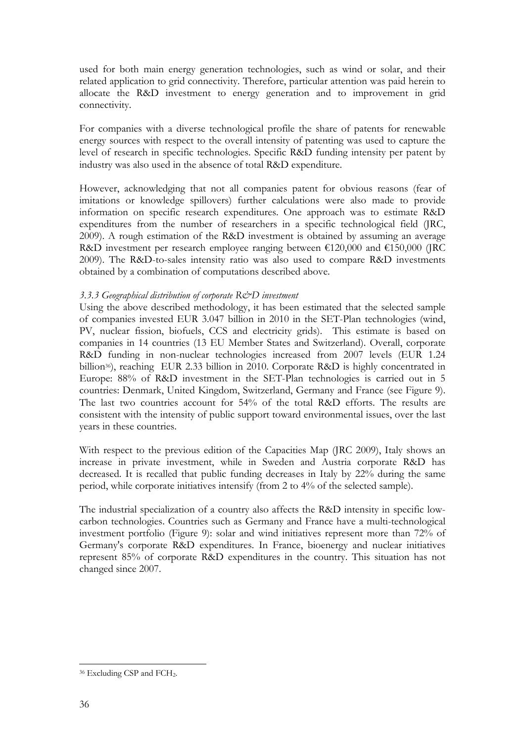used for both main energy generation technologies, such as wind or solar, and their related application to grid connectivity. Therefore, particular attention was paid herein to allocate the R&D investment to energy generation and to improvement in grid connectivity.

For companies with a diverse technological profile the share of patents for renewable energy sources with respect to the overall intensity of patenting was used to capture the level of research in specific technologies. Specific R&D funding intensity per patent by industry was also used in the absence of total R&D expenditure.

However, acknowledging that not all companies patent for obvious reasons (fear of imitations or knowledge spillovers) further calculations were also made to provide information on specific research expenditures. One approach was to estimate R&D expenditures from the number of researchers in a specific technological field (JRC, 2009). A rough estimation of the R&D investment is obtained by assuming an average R&D investment per research employee ranging between  $\text{\textsterling}120,000$  and  $\text{\textsterling}150,000$  (JRC 2009). The R&D-to-sales intensity ratio was also used to compare R&D investments obtained by a combination of computations described above.

## <span id="page-35-0"></span>*3.3.3 Geographical distribution of corporate R&D investment*

Using the above described methodology, it has been estimated that the selected sample of companies invested EUR 3.047 billion in 2010 in the SET-Plan technologies (wind, PV, nuclear fission, biofuels, CCS and electricity grids). This estimate is based on companies in 14 countries (13 EU Member States and Switzerland). Overall, corporate R&D funding in non-nuclear technologies increased from 2007 levels (EUR 1.24 billion<sup>36</sup>), reaching EUR 2.33 billion in 2010. Corporate R&D is highly concentrated in Europe: 88% of R&D investment in the SET-Plan technologies is carried out in 5 countries: Denmark, United Kingdom, Switzerland, Germany and France (see Figure 9). The last two countries account for 54% of the total R&D efforts. The results are consistent with the intensity of public support toward environmental issues, over the last years in these countries.

With respect to the previous edition of the Capacities Map (JRC 2009), Italy shows an increase in private investment, while in Sweden and Austria corporate R&D has decreased. It is recalled that public funding decreases in Italy by 22% during the same period, while corporate initiatives intensify (from 2 to 4% of the selected sample).

The industrial specialization of a country also affects the R&D intensity in specific lowcarbon technologies. Countries such as Germany and France have a multi-technological investment portfolio (Figure 9): solar and wind initiatives represent more than 72% of Germany's corporate R&D expenditures. In France, bioenergy and nuclear initiatives represent 85% of corporate R&D expenditures in the country. This situation has not changed since 2007.

<sup>&</sup>lt;u>.</u> <sup>36</sup> Excluding CSP and FCH<sub>2</sub>.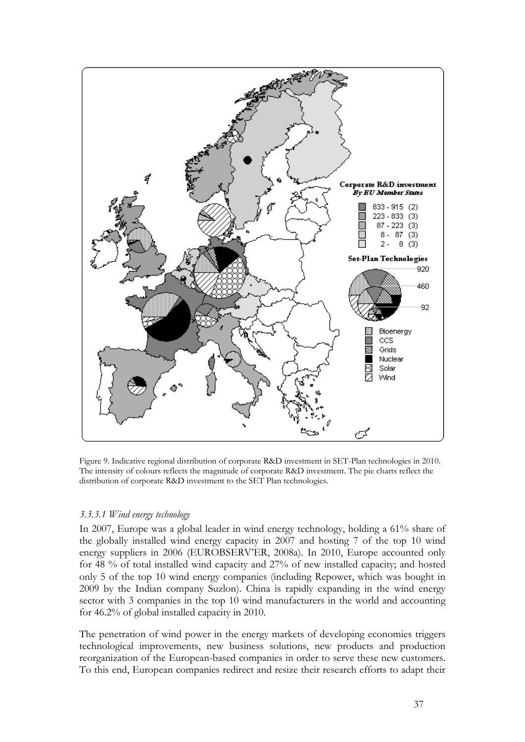

Figure 9. Indicative regional distribution of corporate R&D investment in SET-Plan technologies in 2010. The intensity of colours reflects the magnitude of corporate R&D investment. The pie charts reflect the distribution of corporate R&D investment to the SET Plan technologies.

## <span id="page-36-0"></span>*3.3.3.1 Wind energy technology*

In 2007, Europe was a global leader in wind energy technology, holding a 61% share of the globally installed wind energy capacity in 2007 and hosting 7 of the top 10 wind energy suppliers in 2006 (EUROBSERV'ER, 2008a). In 2010, Europe accounted only for 48 % of total installed wind capacity and 27% of new installed capacity; and hosted only 5 of the top 10 wind energy companies (including Repower, which was bought in 2009 by the Indian company Suzlon). China is rapidly expanding in the wind energy sector with 3 companies in the top 10 wind manufacturers in the world and accounting for 46.2% of global installed capacity in 2010.

The penetration of wind power in the energy markets of developing economies triggers technological improvements, new business solutions, new products and production reorganization of the European-based companies in order to serve these new customers. To this end, European companies redirect and resize their research efforts to adapt their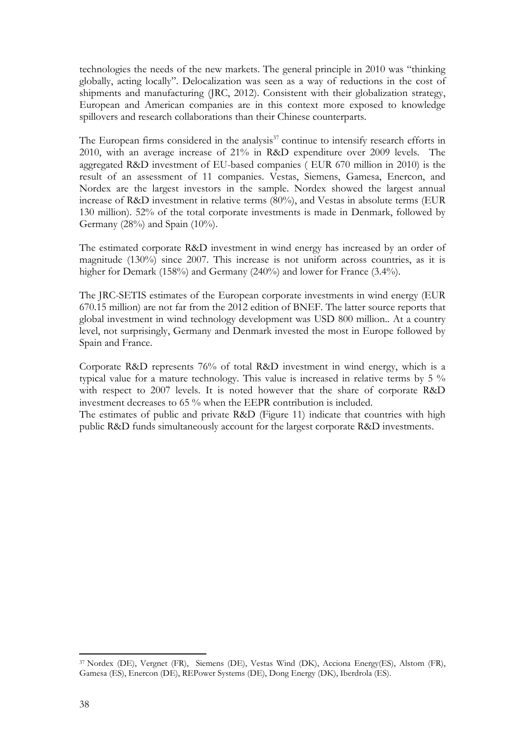technologies the needs of the new markets. The general principle in 2010 was "thinking globally, acting locally". Delocalization was seen as a way of reductions in the cost of shipments and manufacturing (JRC, 2012). Consistent with their globalization strategy, European and American companies are in this context more exposed to knowledge spillovers and research collaborations than their Chinese counterparts.

The European firms considered in the analysis $37$  continue to intensify research efforts in 2010, with an average increase of 21% in R&D expenditure over 2009 levels. The aggregated R&D investment of EU-based companies ( EUR 670 million in 2010) is the result of an assessment of 11 companies. Vestas, Siemens, Gamesa, Enercon, and Nordex are the largest investors in the sample. Nordex showed the largest annual increase of R&D investment in relative terms (80%), and Vestas in absolute terms (EUR 130 million). 52% of the total corporate investments is made in Denmark, followed by Germany (28%) and Spain (10%).

The estimated corporate R&D investment in wind energy has increased by an order of magnitude (130%) since 2007. This increase is not uniform across countries, as it is higher for Demark (158%) and Germany (240%) and lower for France (3.4%).

The JRC-SETIS estimates of the European corporate investments in wind energy (EUR 670.15 million) are not far from the 2012 edition of BNEF. The latter source reports that global investment in wind technology development was USD 800 million.. At a country level, not surprisingly, Germany and Denmark invested the most in Europe followed by Spain and France.

Corporate R&D represents 76% of total R&D investment in wind energy, which is a typical value for a mature technology. This value is increased in relative terms by 5 % with respect to 2007 levels. It is noted however that the share of corporate R&D investment decreases to 65 % when the EEPR contribution is included.

The estimates of public and private R&D (Figure 11) indicate that countries with high public R&D funds simultaneously account for the largest corporate R&D investments.

<sup>37</sup> Nordex (DE), Vergnet (FR), Siemens (DE), Vestas Wind (DK), Acciona Energy(ES), Alstom (FR), Gamesa (ES), Enercon (DE), REPower Systems (DE), Dong Energy (DK), Iberdrola (ES).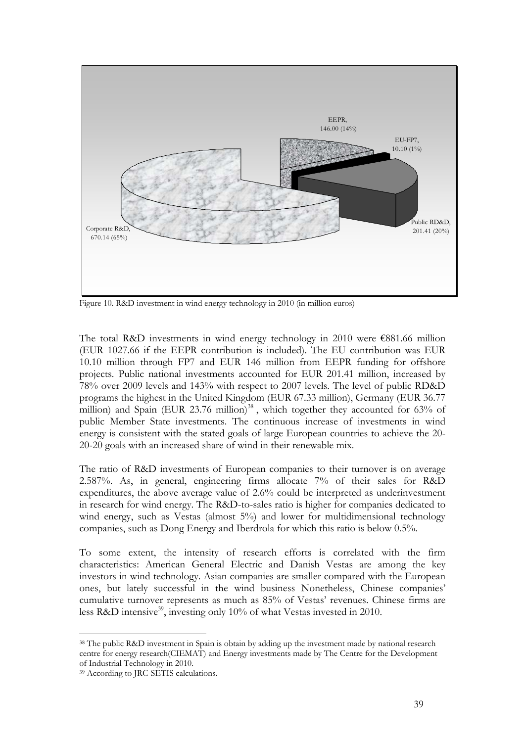

Figure 10. R&D investment in wind energy technology in 2010 (in million euros)

The total R&D investments in wind energy technology in 2010 were €881.66 million (EUR 1027.66 if the EEPR contribution is included). The EU contribution was EUR 10.10 million through FP7 and EUR 146 million from EEPR funding for offshore projects. Public national investments accounted for EUR 201.41 million, increased by 78% over 2009 levels and 143% with respect to 2007 levels. The level of public RD&D programs the highest in the United Kingdom (EUR 67.33 million), Germany (EUR 36.77 million) and Spain (EUR 23.76 million)<sup>38</sup>, which together they accounted for 63% of public Member State investments. The continuous increase of investments in wind energy is consistent with the stated goals of large European countries to achieve the 20- 20-20 goals with an increased share of wind in their renewable mix.

The ratio of R&D investments of European companies to their turnover is on average 2.587%. As, in general, engineering firms allocate 7% of their sales for R&D expenditures, the above average value of 2.6% could be interpreted as underinvestment in research for wind energy. The R&D-to-sales ratio is higher for companies dedicated to wind energy, such as Vestas (almost 5%) and lower for multidimensional technology companies, such as Dong Energy and Iberdrola for which this ratio is below 0.5%.

To some extent, the intensity of research efforts is correlated with the firm characteristics: American General Electric and Danish Vestas are among the key investors in wind technology. Asian companies are smaller compared with the European ones, but lately successful in the wind business Nonetheless, Chinese companies' cumulative turnover represents as much as 85% of Vestas' revenues. Chinese firms are less R&D intensive<sup>39</sup>, investing only 10% of what Vestas invested in 2010.

<sup>&</sup>lt;u>.</u> 38 The public R&D investment in Spain is obtain by adding up the investment made by national research centre for energy research(CIEMAT) and Energy investments made by The Centre for the Development of Industrial Technology in 2010.

<sup>39</sup> According to JRC-SETIS calculations.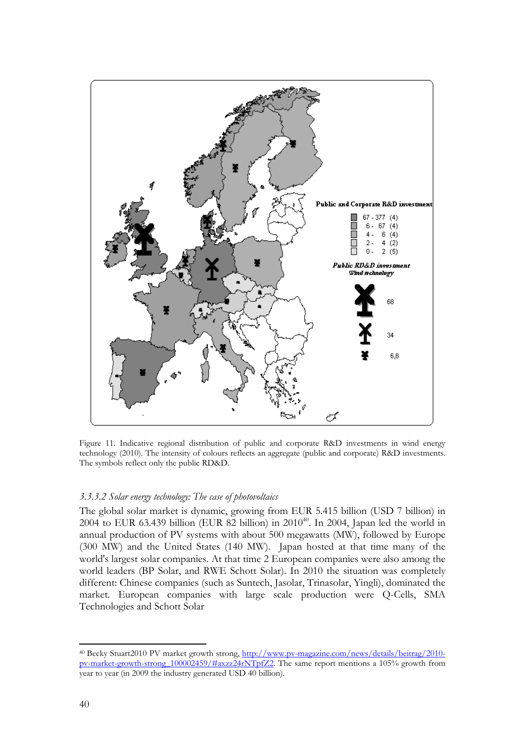

Figure 11. Indicative regional distribution of public and corporate R&D investments in wind energy technology (2010). The intensity of colours reflects an aggregate (public and corporate) R&D investments. The symbols reflect only the public RD&D.

#### <span id="page-39-0"></span>*3.3.3.2 Solar energy technology: The case of photovoltaics*

The global solar market is dynamic, growing from EUR 5.415 billion (USD 7 billion) in 2004 to EUR 63.439 billion (EUR 82 billion) in  $2010^{40}$ . In 2004, Japan led the world in annual production of PV systems with about 500 megawatts (MW), followed by Europe (300 MW) and the United States (140 MW). Japan hosted at that time many of the world's largest solar companies. At that time 2 European companies were also among the world leaders (BP Solar, and RWE Schott Solar). In 2010 the situation was completely different: Chinese companies (such as Suntech, Jasolar, Trinasolar, Yingli), dominated the market. European companies with large scale production were Q-Cells, SMA Technologies and Schott Solar

<sup>40</sup> Becky Stuart2010 PV market growth strong, [http://www.pv-magazine.com/news/details/beitrag/2010](http://www.pv-magazine.com/news/details/beitrag/2010-pv-market-growth-strong_100002459/#axzz24rNTpfZ2) [pv-market-growth-strong\\_100002459/#axzz24rNTpfZ2.](http://www.pv-magazine.com/news/details/beitrag/2010-pv-market-growth-strong_100002459/#axzz24rNTpfZ2) The same report mentions a 105% growth from year to year (in 2009 the industry generated USD 40 billion).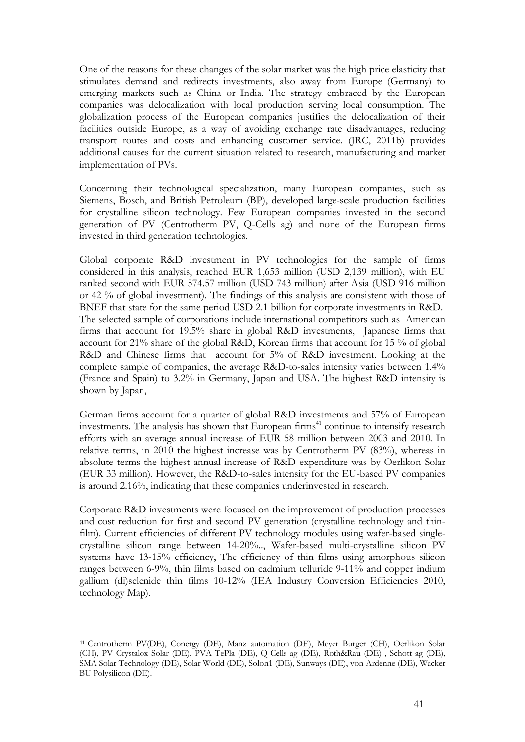One of the reasons for these changes of the solar market was the high price elasticity that stimulates demand and redirects investments, also away from Europe (Germany) to emerging markets such as China or India. The strategy embraced by the European companies was delocalization with local production serving local consumption. The globalization process of the European companies justifies the delocalization of their facilities outside Europe, as a way of avoiding exchange rate disadvantages, reducing transport routes and costs and enhancing customer service. (JRC, 2011b) provides additional causes for the current situation related to research, manufacturing and market implementation of PVs.

Concerning their technological specialization, many European companies, such as Siemens, Bosch, and British Petroleum (BP), developed large-scale production facilities for crystalline silicon technology. Few European companies invested in the second generation of PV (Centrotherm PV, Q-Cells ag) and none of the European firms invested in third generation technologies.

Global corporate R&D investment in PV technologies for the sample of firms considered in this analysis, reached EUR 1,653 million (USD 2,139 million), with EU ranked second with EUR 574.57 million (USD 743 million) after Asia (USD 916 million or 42 % of global investment). The findings of this analysis are consistent with those of BNEF that state for the same period USD 2.1 billion for corporate investments in R&D. The selected sample of corporations include international competitors such as American firms that account for 19.5% share in global R&D investments, Japanese firms that account for 21% share of the global R&D, Korean firms that account for 15 % of global R&D and Chinese firms that account for 5% of R&D investment. Looking at the complete sample of companies, the average R&D-to-sales intensity varies between 1.4% (France and Spain) to 3.2% in Germany, Japan and USA. The highest R&D intensity is shown by Japan,

German firms account for a quarter of global R&D investments and 57% of European investments. The analysis has shown that European firms<sup>41</sup> continue to intensify research efforts with an average annual increase of EUR 58 million between 2003 and 2010. In relative terms, in 2010 the highest increase was by Centrotherm PV (83%), whereas in absolute terms the highest annual increase of R&D expenditure was by Oerlikon Solar (EUR 33 million). However, the R&D-to-sales intensity for the EU-based PV companies is around 2.16%, indicating that these companies underinvested in research.

Corporate R&D investments were focused on the improvement of production processes and cost reduction for first and second PV generation (crystalline technology and thinfilm). Current efficiencies of different PV technology modules using wafer-based singlecrystalline silicon range between 14-20%.., Wafer-based multi-crystalline silicon PV systems have 13-15% efficiency, The efficiency of thin films using amorphous silicon ranges between 6-9%, thin films based on cadmium telluride 9-11% and copper indium gallium (di)selenide thin films 10-12% (IEA Industry Conversion Efficiencies 2010, technology Map).

<sup>&</sup>lt;u>.</u> 41 Centrotherm PV(DE), Conergy (DE), Manz automation (DE), Meyer Burger (CH), Oerlikon Solar (CH), PV Crystalox Solar (DE), PVA TePla (DE), Q-Cells ag (DE), Roth&Rau (DE) , Schott ag (DE), SMA Solar Technology (DE), Solar World (DE), Solon1 (DE), Sunways (DE), von Ardenne (DE), Wacker BU Polysilicon (DE).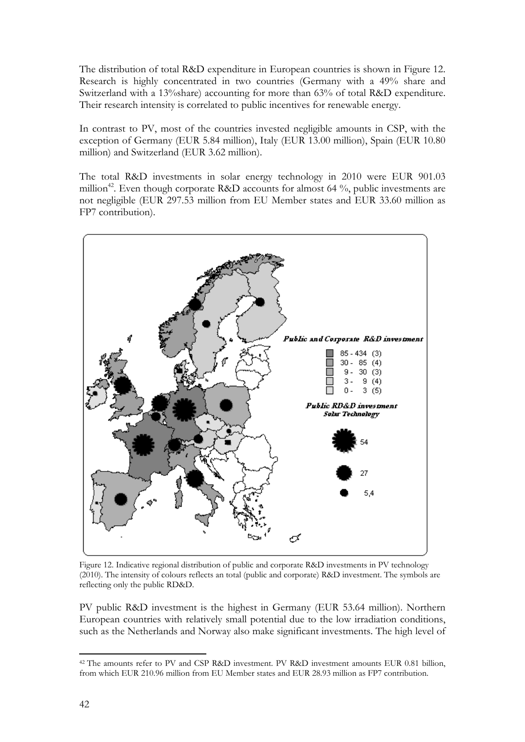The distribution of total R&D expenditure in European countries is shown in Figure 12. Research is highly concentrated in two countries (Germany with a 49% share and Switzerland with a 13%share) accounting for more than 63% of total R&D expenditure. Their research intensity is correlated to public incentives for renewable energy.

In contrast to PV, most of the countries invested negligible amounts in CSP, with the exception of Germany (EUR 5.84 million), Italy (EUR 13.00 million), Spain (EUR 10.80 million) and Switzerland (EUR 3.62 million).

The total R&D investments in solar energy technology in 2010 were EUR 901.03 million<sup>42</sup>. Even though corporate R&D accounts for almost 64  $\%$ , public investments are not negligible (EUR 297.53 million from EU Member states and EUR 33.60 million as FP7 contribution).



Figure 12. Indicative regional distribution of public and corporate R&D investments in PV technology (2010). The intensity of colours reflects an total (public and corporate) R&D investment. The symbols are reflecting only the public RD&D.

PV public R&D investment is the highest in Germany (EUR 53.64 million). Northern European countries with relatively small potential due to the low irradiation conditions, such as the Netherlands and Norway also make significant investments. The high level of

<sup>&</sup>lt;u>.</u> <sup>42</sup> The amounts refer to PV and CSP R&D investment. PV R&D investment amounts EUR 0.81 billion, from which EUR 210.96 million from EU Member states and EUR 28.93 million as FP7 contribution.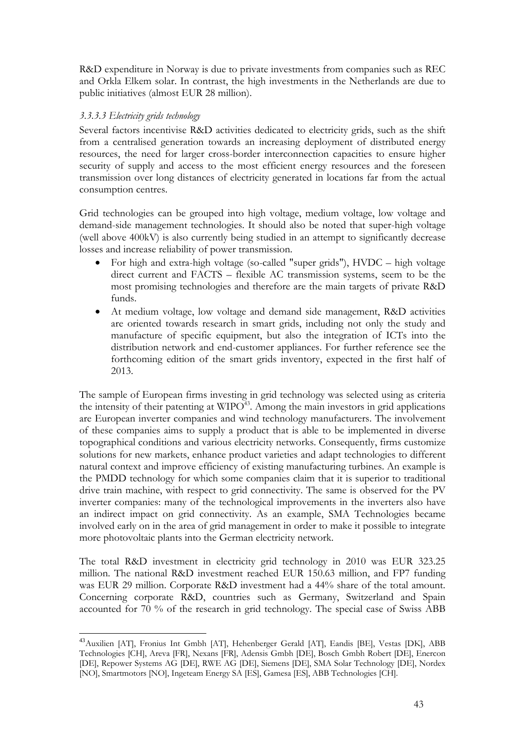R&D expenditure in Norway is due to private investments from companies such as REC and Orkla Elkem solar. In contrast, the high investments in the Netherlands are due to public initiatives (almost EUR 28 million).

## <span id="page-42-0"></span>*3.3.3.3 Electricity grids technology*

<u>.</u>

Several factors incentivise R&D activities dedicated to electricity grids, such as the shift from a centralised generation towards an increasing deployment of distributed energy resources, the need for larger cross-border interconnection capacities to ensure higher security of supply and access to the most efficient energy resources and the foreseen transmission over long distances of electricity generated in locations far from the actual consumption centres.

Grid technologies can be grouped into high voltage, medium voltage, low voltage and demand-side management technologies. It should also be noted that super-high voltage (well above 400kV) is also currently being studied in an attempt to significantly decrease losses and increase reliability of power transmission.

- For high and extra-high voltage (so-called "super grids"), HVDC high voltage direct current and FACTS – flexible AC transmission systems, seem to be the most promising technologies and therefore are the main targets of private R&D funds.
- At medium voltage, low voltage and demand side management, R&D activities are oriented towards research in smart grids, including not only the study and manufacture of specific equipment, but also the integration of ICTs into the distribution network and end-customer appliances. For further reference see the forthcoming edition of the smart grids inventory, expected in the first half of 2013.

The sample of European firms investing in grid technology was selected using as criteria the intensity of their patenting at  $W \Gamma Q^{43}$ . Among the main investors in grid applications are European inverter companies and wind technology manufacturers. The involvement of these companies aims to supply a product that is able to be implemented in diverse topographical conditions and various electricity networks. Consequently, firms customize solutions for new markets, enhance product varieties and adapt technologies to different natural context and improve efficiency of existing manufacturing turbines. An example is the PMDD technology for which some companies claim that it is superior to traditional drive train machine, with respect to grid connectivity. The same is observed for the PV inverter companies: many of the technological improvements in the inverters also have an indirect impact on grid connectivity. As an example, SMA Technologies became involved early on in the area of grid management in order to make it possible to integrate more photovoltaic plants into the German electricity network.

The total R&D investment in electricity grid technology in 2010 was EUR 323.25 million. The national R&D investment reached EUR 150.63 million, and FP7 funding was EUR 29 million. Corporate R&D investment had a 44% share of the total amount. Concerning corporate R&D, countries such as Germany, Switzerland and Spain accounted for 70 % of the research in grid technology. The special case of Swiss ABB

<sup>43</sup>Auxilien [AT], Fronius Int Gmbh [AT], Hehenberger Gerald [AT], Eandis [BE], Vestas [DK], ABB Technologies [CH], Areva [FR], Nexans [FR], Adensis Gmbh [DE], Bosch Gmbh Robert [DE], Enercon [DE], Repower Systems AG [DE], RWE AG [DE], Siemens [DE], SMA Solar Technology [DE], Nordex [NO], Smartmotors [NO], Ingeteam Energy SA [ES], Gamesa [ES], ABB Technologies [CH].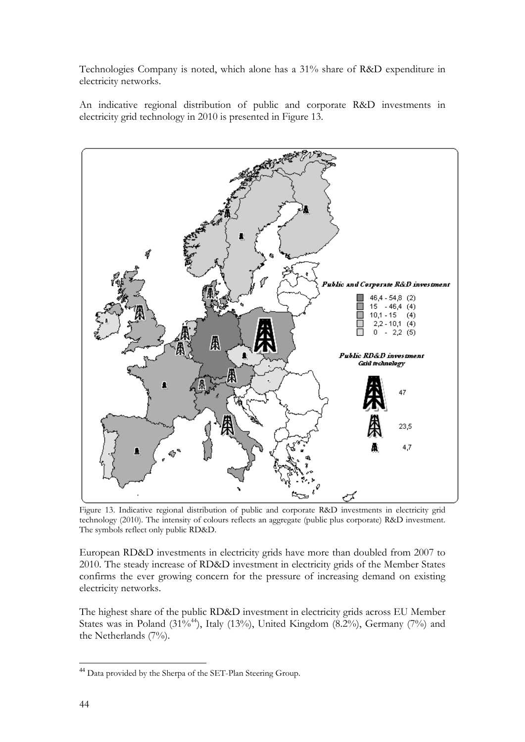Technologies Company is noted, which alone has a 31% share of R&D expenditure in electricity networks.

An indicative regional distribution of public and corporate R&D investments in electricity grid technology in 2010 is presented in Figure 13.



Figure 13. Indicative regional distribution of public and corporate R&D investments in electricity grid technology (2010). The intensity of colours reflects an aggregate (public plus corporate) R&D investment. The symbols reflect only public RD&D.

European RD&D investments in electricity grids have more than doubled from 2007 to 2010. The steady increase of RD&D investment in electricity grids of the Member States confirms the ever growing concern for the pressure of increasing demand on existing electricity networks.

The highest share of the public RD&D investment in electricity grids across EU Member States was in Poland (31%<sup>44</sup>), Italy (13%), United Kingdom (8.2%), Germany (7%) and the Netherlands (7%).

<sup>&</sup>lt;u>.</u> <sup>44</sup> Data provided by the Sherpa of the SET-Plan Steering Group.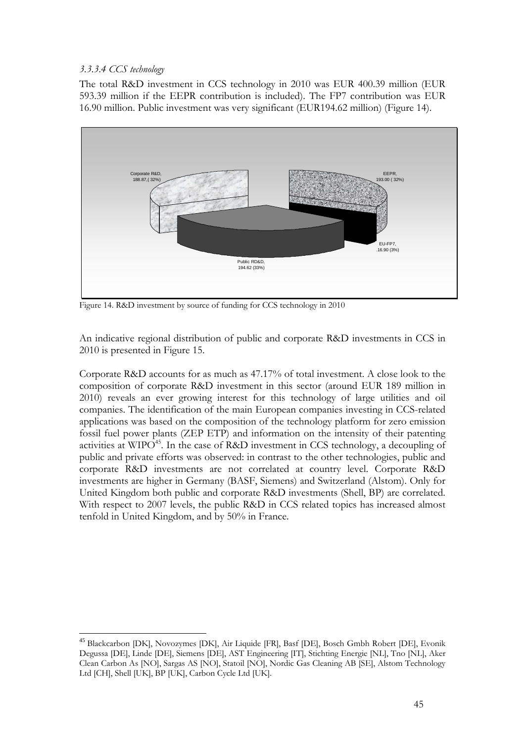## <span id="page-44-0"></span>*3.3.3.4 CCS technology*

<u>.</u>

The total R&D investment in CCS technology in 2010 was EUR 400.39 million (EUR 593.39 million if the EEPR contribution is included). The FP7 contribution was EUR 16.90 million. Public investment was very significant (EUR194.62 million) (Figure 14).



Figure 14. R&D investment by source of funding for CCS technology in 2010

An indicative regional distribution of public and corporate R&D investments in CCS in 2010 is presented in Figure 15.

Corporate R&D accounts for as much as 47.17% of total investment. A close look to the composition of corporate R&D investment in this sector (around EUR 189 million in 2010) reveals an ever growing interest for this technology of large utilities and oil companies. The identification of the main European companies investing in CCS-related applications was based on the composition of the technology platform for zero emission fossil fuel power plants (ZEP ETP) and information on the intensity of their patenting activities at WIPO<sup>45</sup>. In the case of R&D investment in CCS technology, a decoupling of public and private efforts was observed: in contrast to the other technologies, public and corporate R&D investments are not correlated at country level. Corporate R&D investments are higher in Germany (BASF, Siemens) and Switzerland (Alstom). Only for United Kingdom both public and corporate R&D investments (Shell, BP) are correlated. With respect to 2007 levels, the public R&D in CCS related topics has increased almost tenfold in United Kingdom, and by 50% in France.

<sup>45</sup> Blackcarbon [DK], Novozymes [DK], Air Liquide [FR], Basf [DE], Bosch Gmbh Robert [DE], Evonik Degussa [DE], Linde [DE], Siemens [DE], AST Engineering [IT], Stichting Energie [NL], Tno [NL], Aker Clean Carbon As [NO], Sargas AS [NO], Statoil [NO], Nordic Gas Cleaning AB [SE], Alstom Technology Ltd [CH], Shell [UK], BP [UK], Carbon Cycle Ltd [UK].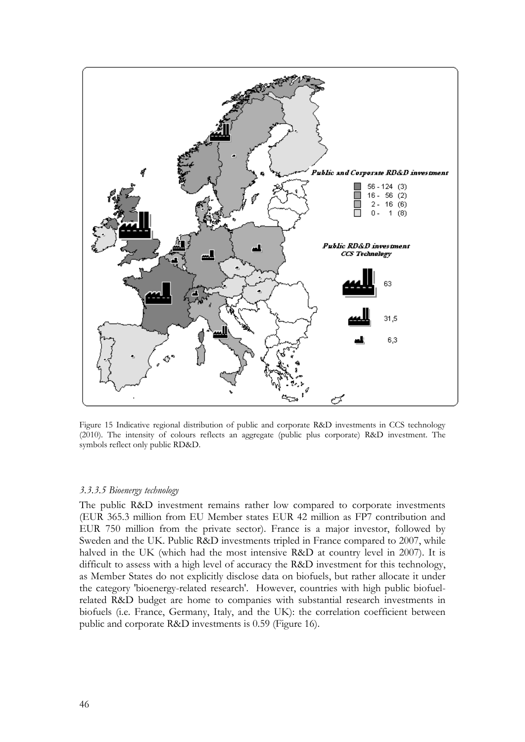

Figure 15 Indicative regional distribution of public and corporate R&D investments in CCS technology (2010). The intensity of colours reflects an aggregate (public plus corporate) R&D investment. The symbols reflect only public RD&D.

#### <span id="page-45-0"></span>*3.3.3.5 Bioenergy technology*

The public R&D investment remains rather low compared to corporate investments (EUR 365.3 million from EU Member states EUR 42 million as FP7 contribution and EUR 750 million from the private sector). France is a major investor, followed by Sweden and the UK. Public R&D investments tripled in France compared to 2007, while halved in the UK (which had the most intensive R&D at country level in 2007). It is difficult to assess with a high level of accuracy the R&D investment for this technology, as Member States do not explicitly disclose data on biofuels, but rather allocate it under the category 'bioenergy-related research'. However, countries with high public biofuelrelated R&D budget are home to companies with substantial research investments in biofuels (i.e. France, Germany, Italy, and the UK): the correlation coefficient between public and corporate R&D investments is 0.59 (Figure 16).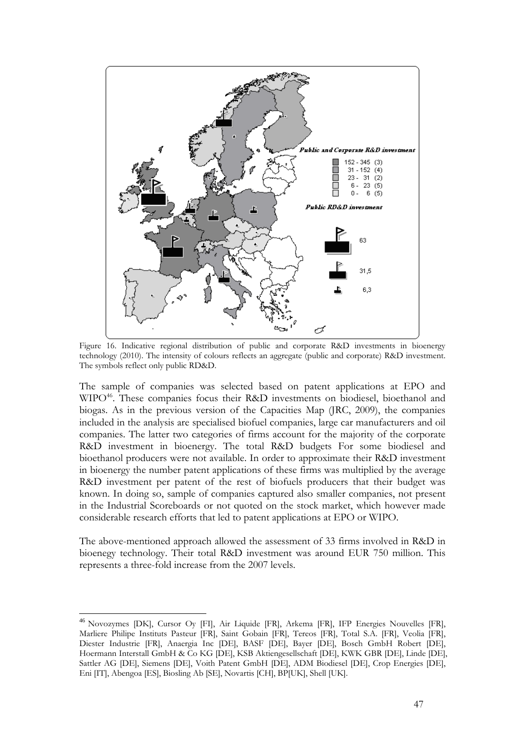

Figure 16. Indicative regional distribution of public and corporate R&D investments in bioenergy technology (2010). The intensity of colours reflects an aggregate (public and corporate) R&D investment. The symbols reflect only public RD&D.

The sample of companies was selected based on patent applications at EPO and WIPO<sup>46</sup>. These companies focus their R&D investments on biodiesel, bioethanol and biogas. As in the previous version of the Capacities Map (JRC, 2009), the companies included in the analysis are specialised biofuel companies, large car manufacturers and oil companies. The latter two categories of firms account for the majority of the corporate R&D investment in bioenergy. The total R&D budgets For some biodiesel and bioethanol producers were not available. In order to approximate their R&D investment in bioenergy the number patent applications of these firms was multiplied by the average R&D investment per patent of the rest of biofuels producers that their budget was known. In doing so, sample of companies captured also smaller companies, not present in the Industrial Scoreboards or not quoted on the stock market, which however made considerable research efforts that led to patent applications at EPO or WIPO.

The above-mentioned approach allowed the assessment of 33 firms involved in R&D in bioenegy technology. Their total R&D investment was around EUR 750 million. This represents a three-fold increase from the 2007 levels.

<sup>46</sup> Novozymes [DK], Cursor Oy [FI], Air Liquide [FR], Arkema [FR], IFP Energies Nouvelles [FR], Marliere Philipe Instituts Pasteur [FR], Saint Gobain [FR], Tereos [FR], Total S.A. [FR], Veolia [FR], Diester Industrie [FR], Anaergia Inc [DE], BASF [DE], Bayer [DE], Bosch GmbH Robert [DE], Hoermann Interstall GmbH & Co KG [DE], KSB Aktiengesellschaft [DE], KWK GBR [DE], Linde [DE], Sattler AG [DE], Siemens [DE], Voith Patent GmbH [DE], ADM Biodiesel [DE], Crop Energies [DE], Eni [IT], Abengoa [ES], Biosling Ab [SE], Novartis [CH], BP[UK], Shell [UK].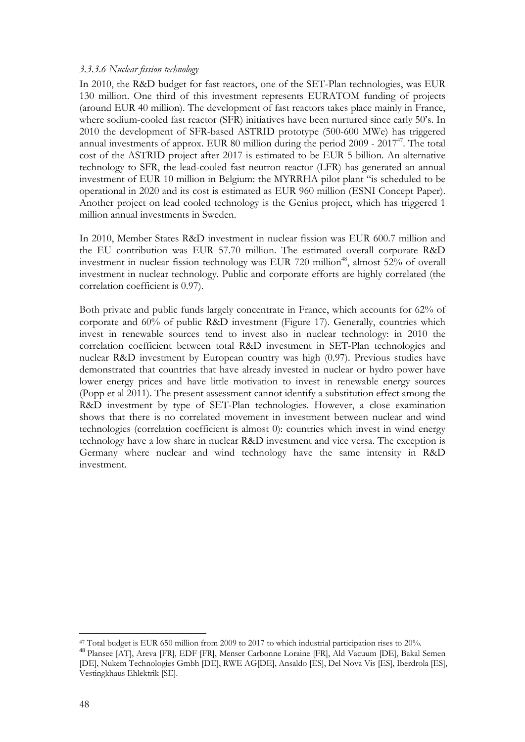#### <span id="page-47-0"></span>*3.3.3.6 Nuclear fission technology*

In 2010, the R&D budget for fast reactors, one of the SET-Plan technologies, was EUR 130 million. One third of this investment represents EURATOM funding of projects (around EUR 40 million). The development of fast reactors takes place mainly in France, where sodium-cooled fast reactor (SFR) initiatives have been nurtured since early 50's. In 2010 the development of SFR-based ASTRID prototype (500-600 MWe) has triggered annual investments of approx. EUR 80 million during the period  $2009 - 2017<sup>47</sup>$ . The total cost of the ASTRID project after 2017 is estimated to be EUR 5 billion. An alternative technology to SFR, the lead-cooled fast neutron reactor (LFR) has generated an annual investment of EUR 10 million in Belgium: the MYRRHA pilot plant "is scheduled to be operational in 2020 and its cost is estimated as EUR 960 million (ESNI Concept Paper). Another project on lead cooled technology is the Genius project, which has triggered 1 million annual investments in Sweden.

In 2010, Member States R&D investment in nuclear fission was EUR 600.7 million and the EU contribution was EUR 57.70 million. The estimated overall corporate R&D investment in nuclear fission technology was EUR 720 million<sup>48</sup>, almost 52% of overall investment in nuclear technology. Public and corporate efforts are highly correlated (the correlation coefficient is 0.97).

Both private and public funds largely concentrate in France, which accounts for 62% of corporate and 60% of public R&D investment (Figure 17). Generally, countries which invest in renewable sources tend to invest also in nuclear technology: in 2010 the correlation coefficient between total R&D investment in SET-Plan technologies and nuclear R&D investment by European country was high (0.97). Previous studies have demonstrated that countries that have already invested in nuclear or hydro power have lower energy prices and have little motivation to invest in renewable energy sources (Popp et al 2011). The present assessment cannot identify a substitution effect among the R&D investment by type of SET-Plan technologies. However, a close examination shows that there is no correlated movement in investment between nuclear and wind technologies (correlation coefficient is almost 0): countries which invest in wind energy technology have a low share in nuclear R&D investment and vice versa. The exception is Germany where nuclear and wind technology have the same intensity in R&D investment.

<sup>&</sup>lt;u>.</u>

<sup>&</sup>lt;sup>47</sup> Total budget is EUR 650 million from 2009 to 2017 to which industrial participation rises to 20%.<br><sup>48</sup> Plansee [AT], Areva [FR], EDF [FR], Menser Carbonne Loraine [FR], Ald Vacuum [DE], Bakal Semen [DE], Nukem Technologies Gmbh [DE], RWE AG[DE], Ansaldo [ES], Del Nova Vis [ES], Iberdrola [ES], Vestingkhaus Ehlektrik [SE].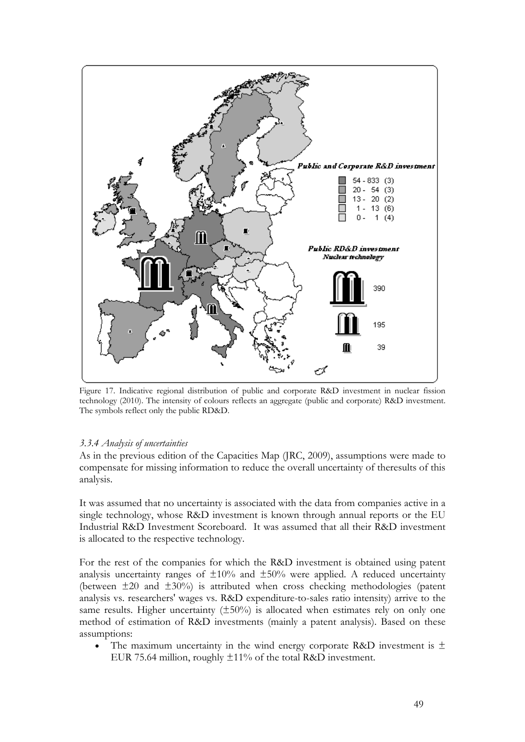

Figure 17. Indicative regional distribution of public and corporate R&D investment in nuclear fission technology (2010). The intensity of colours reflects an aggregate (public and corporate) R&D investment. The symbols reflect only the public RD&D.

#### *3.3.4 Analysis of uncertainties*

As in the previous edition of the Capacities Map (JRC, 2009), assumptions were made to compensate for missing information to reduce the overall uncertainty of theresults of this analysis.

It was assumed that no uncertainty is associated with the data from companies active in a single technology, whose R&D investment is known through annual reports or the EU Industrial R&D Investment Scoreboard. It was assumed that all their R&D investment is allocated to the respective technology.

For the rest of the companies for which the R&D investment is obtained using patent analysis uncertainty ranges of  $\pm 10\%$  and  $\pm 50\%$  were applied. A reduced uncertainty (between  $\pm 20$  and  $\pm 30\%$ ) is attributed when cross checking methodologies (patent analysis vs. researchers' wages vs. R&D expenditure-to-sales ratio intensity) arrive to the same results. Higher uncertainty  $(\pm 50\%)$  is allocated when estimates rely on only one method of estimation of R&D investments (mainly a patent analysis). Based on these assumptions:

• The maximum uncertainty in the wind energy corporate R&D investment is  $\pm$ EUR 75.64 million, roughly  $\pm 11\%$  of the total R&D investment.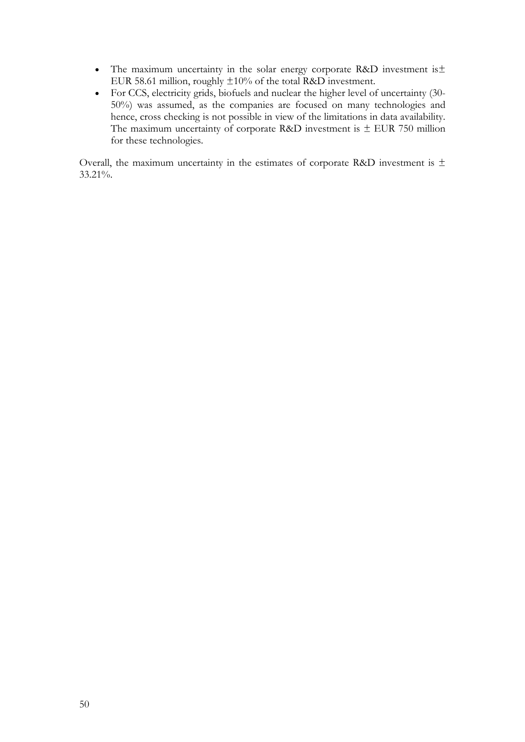- The maximum uncertainty in the solar energy corporate R&D investment is± EUR 58.61 million, roughly ±10% of the total R&D investment.
- For CCS, electricity grids, biofuels and nuclear the higher level of uncertainty (30- 50%) was assumed, as the companies are focused on many technologies and hence, cross checking is not possible in view of the limitations in data availability. The maximum uncertainty of corporate R&D investment is  $\pm$  EUR 750 million for these technologies.

Overall, the maximum uncertainty in the estimates of corporate R&D investment is  $\pm$ 33.21%.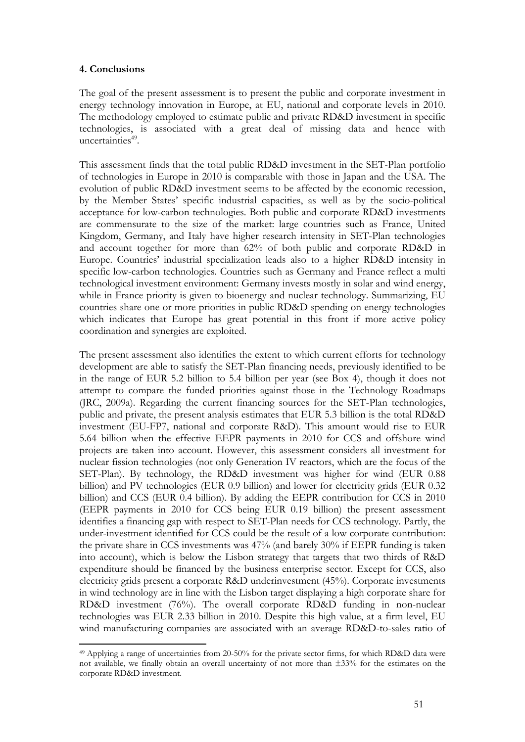## **4. Conclusions**

<u>.</u>

The goal of the present assessment is to present the public and corporate investment in energy technology innovation in Europe, at EU, national and corporate levels in 2010. The methodology employed to estimate public and private RD&D investment in specific technologies, is associated with a great deal of missing data and hence with uncertainties $49$ .

This assessment finds that the total public RD&D investment in the SET-Plan portfolio of technologies in Europe in 2010 is comparable with those in Japan and the USA. The evolution of public RD&D investment seems to be affected by the economic recession, by the Member States' specific industrial capacities, as well as by the socio-political acceptance for low-carbon technologies. Both public and corporate RD&D investments are commensurate to the size of the market: large countries such as France, United Kingdom, Germany, and Italy have higher research intensity in SET-Plan technologies and account together for more than 62% of both public and corporate RD&D in Europe. Countries' industrial specialization leads also to a higher RD&D intensity in specific low-carbon technologies. Countries such as Germany and France reflect a multi technological investment environment: Germany invests mostly in solar and wind energy, while in France priority is given to bioenergy and nuclear technology. Summarizing, EU countries share one or more priorities in public RD&D spending on energy technologies which indicates that Europe has great potential in this front if more active policy coordination and synergies are exploited.

The present assessment also identifies the extent to which current efforts for technology development are able to satisfy the SET-Plan financing needs, previously identified to be in the range of EUR 5.2 billion to 5.4 billion per year (see Box 4), though it does not attempt to compare the funded priorities against those in the Technology Roadmaps (JRC, 2009a). Regarding the current financing sources for the SET-Plan technologies, public and private, the present analysis estimates that EUR 5.3 billion is the total RD&D investment (EU-FP7, national and corporate R&D). This amount would rise to EUR 5.64 billion when the effective EEPR payments in 2010 for CCS and offshore wind projects are taken into account. However, this assessment considers all investment for nuclear fission technologies (not only Generation IV reactors, which are the focus of the SET-Plan). By technology, the RD&D investment was higher for wind (EUR 0.88 billion) and PV technologies (EUR 0.9 billion) and lower for electricity grids (EUR 0.32 billion) and CCS (EUR 0.4 billion). By adding the EEPR contribution for CCS in 2010 (EEPR payments in 2010 for CCS being EUR 0.19 billion) the present assessment identifies a financing gap with respect to SET-Plan needs for CCS technology. Partly, the under-investment identified for CCS could be the result of a low corporate contribution: the private share in CCS investments was 47% (and barely 30% if EEPR funding is taken into account), which is below the Lisbon strategy that targets that two thirds of R&D expenditure should be financed by the business enterprise sector. Except for CCS, also electricity grids present a corporate R&D underinvestment (45%). Corporate investments in wind technology are in line with the Lisbon target displaying a high corporate share for RD&D investment (76%). The overall corporate RD&D funding in non-nuclear technologies was EUR 2.33 billion in 2010. Despite this high value, at a firm level, EU wind manufacturing companies are associated with an average RD&D-to-sales ratio of

<sup>49</sup> Applying a range of uncertainties from 20-50% for the private sector firms, for which RD&D data were not available, we finally obtain an overall uncertainty of not more than ±33% for the estimates on the corporate RD&D investment.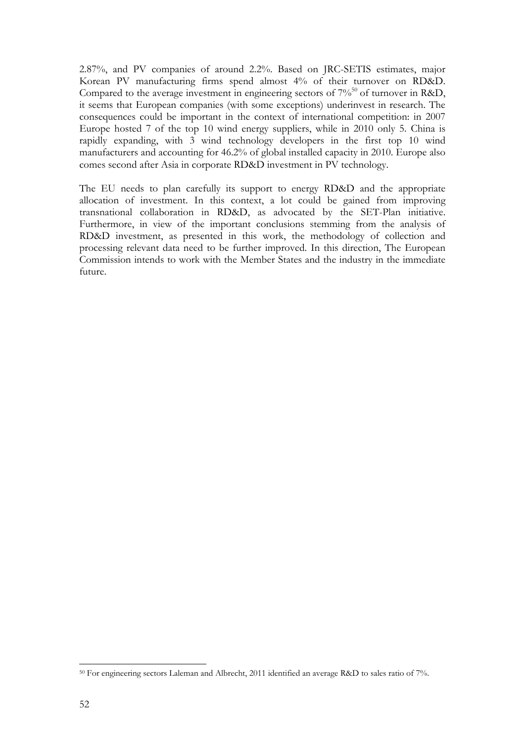2.87%, and PV companies of around 2.2%. Based on JRC-SETIS estimates, major Korean PV manufacturing firms spend almost 4% of their turnover on RD&D. Compared to the average investment in engineering sectors of  $7\%$ <sup>50</sup> of turnover in R&D, it seems that European companies (with some exceptions) underinvest in research. The consequences could be important in the context of international competition: in 2007 Europe hosted 7 of the top 10 wind energy suppliers, while in 2010 only 5. China is rapidly expanding, with 3 wind technology developers in the first top 10 wind manufacturers and accounting for 46.2% of global installed capacity in 2010. Europe also comes second after Asia in corporate RD&D investment in PV technology.

The EU needs to plan carefully its support to energy RD&D and the appropriate allocation of investment. In this context, a lot could be gained from improving transnational collaboration in RD&D, as advocated by the SET-Plan initiative. Furthermore, in view of the important conclusions stemming from the analysis of RD&D investment, as presented in this work, the methodology of collection and processing relevant data need to be further improved. In this direction, The European Commission intends to work with the Member States and the industry in the immediate future.

<sup>50</sup> For engineering sectors Laleman and Albrecht, 2011 identified an average R&D to sales ratio of 7%.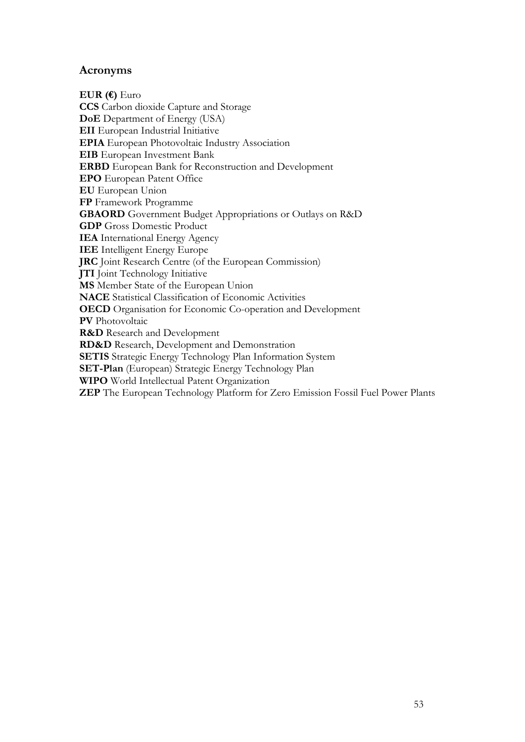# **Acronyms**

**EUR (€)** Euro **CCS** Carbon dioxide Capture and Storage **DoE** Department of Energy (USA) **EII** European Industrial Initiative **EPIA** European Photovoltaic Industry Association **EIB** European Investment Bank **ERBD** European Bank for Reconstruction and Development **EPO** European Patent Office **EU** European Union **FP** Framework Programme **GBAORD** Government Budget Appropriations or Outlays on R&D **GDP** Gross Domestic Product **IEA** International Energy Agency **IEE** Intelligent Energy Europe **JRC** Joint Research Centre (of the European Commission) **JTI** Joint Technology Initiative **MS** Member State of the European Union **NACE** Statistical Classification of Economic Activities **OECD** Organisation for Economic Co-operation and Development **PV** Photovoltaic **R&D** Research and Development **RD&D** Research, Development and Demonstration **SETIS** Strategic Energy Technology Plan Information System **SET-Plan** (European) Strategic Energy Technology Plan **WIPO** World Intellectual Patent Organization **ZEP** The European Technology Platform for Zero Emission Fossil Fuel Power Plants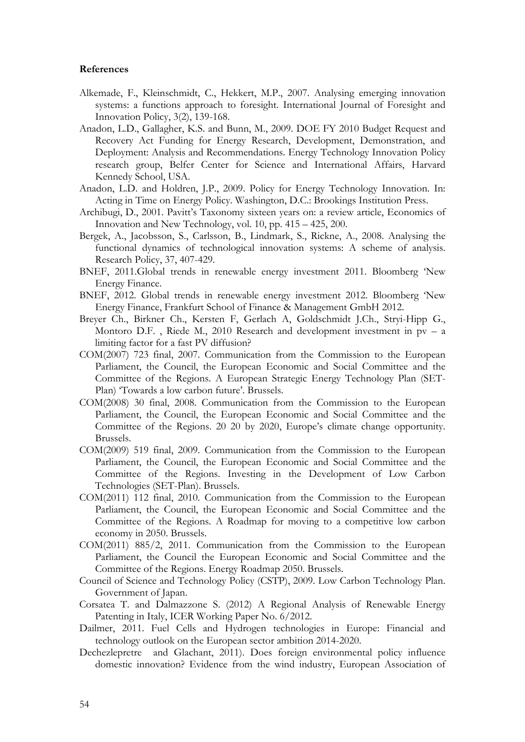#### **References**

- Alkemade, F., Kleinschmidt, C., Hekkert, M.P., 2007. Analysing emerging innovation systems: a functions approach to foresight. International Journal of Foresight and Innovation Policy, 3(2), 139-168.
- Anadon, L.D., Gallagher, K.S. and Bunn, M., 2009. DOE FY 2010 Budget Request and Recovery Act Funding for Energy Research, Development, Demonstration, and Deployment: Analysis and Recommendations. Energy Technology Innovation Policy research group, Belfer Center for Science and International Affairs, Harvard Kennedy School, USA.
- Anadon, L.D. and Holdren, J.P., 2009. Policy for Energy Technology Innovation. In: Acting in Time on Energy Policy. Washington, D.C.: Brookings Institution Press.
- Archibugi, D., 2001. Pavitt's Taxonomy sixteen years on: a review article, Economics of Innovation and New Technology, vol. 10, pp. 415 – 425, 200.
- Bergek, A., Jacobsson, S., Carlsson, B., Lindmark, S., Rickne, A., 2008. Analysing the functional dynamics of technological innovation systems: A scheme of analysis. Research Policy, 37, 407-429.
- BNEF, 2011.Global trends in renewable energy investment 2011. Bloomberg 'New Energy Finance.
- BNEF, 2012. Global trends in renewable energy investment 2012. Bloomberg 'New Energy Finance, Frankfurt School of Finance & Management GmbH 2012.
- Breyer Ch., Birkner Ch., Kersten F, Gerlach A, Goldschmidt J.Ch., Stryi-Hipp G., Montoro D.F., Riede M., 2010 Research and development investment in  $pv - a$ limiting factor for a fast PV diffusion?
- COM(2007) 723 final, 2007. Communication from the Commission to the European Parliament, the Council, the European Economic and Social Committee and the Committee of the Regions. A European Strategic Energy Technology Plan (SET-Plan) 'Towards a low carbon future'. Brussels.
- COM(2008) 30 final, 2008. Communication from the Commission to the European Parliament, the Council, the European Economic and Social Committee and the Committee of the Regions. 20 20 by 2020, Europe's climate change opportunity. Brussels.
- COM(2009) 519 final, 2009. Communication from the Commission to the European Parliament, the Council, the European Economic and Social Committee and the Committee of the Regions. Investing in the Development of Low Carbon Technologies (SET-Plan). Brussels.
- COM(2011) 112 final, 2010. Communication from the Commission to the European Parliament, the Council, the European Economic and Social Committee and the Committee of the Regions. A Roadmap for moving to a competitive low carbon economy in 2050. Brussels.
- COM(2011) 885/2, 2011. Communication from the Commission to the European Parliament, the Council the European Economic and Social Committee and the Committee of the Regions. Energy Roadmap 2050. Brussels.
- Council of Science and Technology Policy (CSTP), 2009. Low Carbon Technology Plan. Government of Japan.
- Corsatea T. and Dalmazzone S. (2012) A Regional Analysis of Renewable Energy Patenting in Italy, ICER Working Paper No. 6/2012.
- Dailmer, 2011. Fuel Cells and Hydrogen technologies in Europe: Financial and technology outlook on the European sector ambition 2014-2020.
- Dechezlepretre and Glachant, 2011). Does foreign environmental policy influence domestic innovation? Evidence from the wind industry, European Association of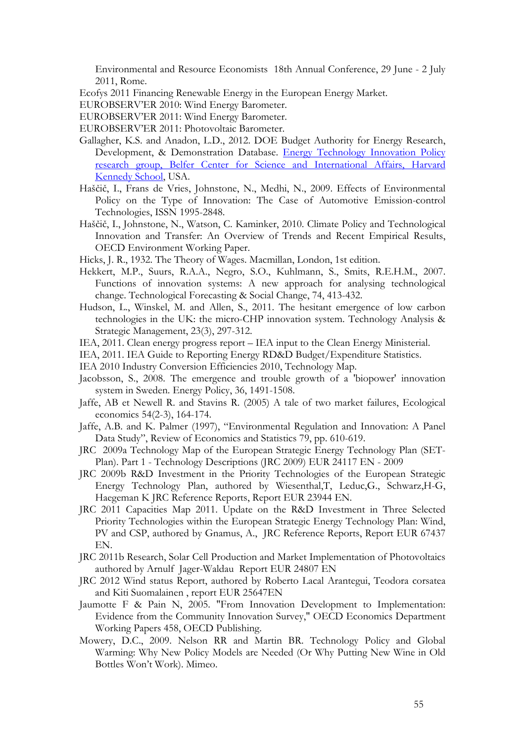Environmental and Resource Economists 18th Annual Conference, 29 June - 2 July 2011, Rome.

Ecofys 2011 Financing Renewable Energy in the European Energy Market.

- EUROBSERV'ER 2010: Wind Energy Barometer.
- EUROBSERV'ER 2011: Wind Energy Barometer.
- EUROBSERV'ER 2011: Photovoltaic Barometer.
- Gallagher, K.S. and Anadon, L.D., 2012. DOE Budget Authority for Energy Research, Development, & Demonstration Database. [Energy Technology Innovation Policy](http://www.belfercenter.org/project/10/energy_technology_innovation_policy.html)  [research group, Belfer Center for Science and International Affairs, Harvard](http://www.belfercenter.org/project/10/energy_technology_innovation_policy.html)  [Kennedy School,](http://www.belfercenter.org/project/10/energy_technology_innovation_policy.html) USA.
- Haščič, I., Frans de Vries, Johnstone, N., Medhi, N., 2009. Effects of Environmental Policy on the Type of Innovation: The Case of Automotive Emission-control Technologies, ISSN 1995-2848.
- Haščič, I., Johnstone, N., Watson, C. Kaminker, 2010. Climate Policy and Technological Innovation and Transfer: An Overview of Trends and Recent Empirical Results, OECD Environment Working Paper.
- Hicks, J. R., 1932. The Theory of Wages. Macmillan, London, 1st edition.
- Hekkert, M.P., Suurs, R.A.A., Negro, S.O., Kuhlmann, S., Smits, R.E.H.M., 2007. Functions of innovation systems: A new approach for analysing technological change. Technological Forecasting & Social Change, 74, 413-432.
- Hudson, L., Winskel, M. and Allen, S., 2011. The hesitant emergence of low carbon technologies in the UK: the micro-CHP innovation system. Technology Analysis & Strategic Management, 23(3), 297-312.
- IEA, 2011. Clean energy progress report IEA input to the Clean Energy Ministerial.
- IEA, 2011. IEA Guide to Reporting Energy RD&D Budget/Expenditure Statistics.
- IEA 2010 Industry Conversion Efficiencies 2010, Technology Map.
- Jacobsson, S., 2008. The emergence and trouble growth of a 'biopower' innovation system in Sweden. Energy Policy, 36, 1491-1508.
- Jaffe, AB et Newell R. and Stavins R. (2005) A tale of two market failures, Ecological economics 54(2-3), 164-174.
- Jaffe, A.B. and K. Palmer (1997), "Environmental Regulation and Innovation: A Panel Data Study", Review of Economics and Statistics 79, pp. 610-619.
- JRC [2009a Technology Map of the European Strategic Energy Technology Plan \(SET-](http://publications.jrc.ec.europa.eu/repository/handle/111111111/13505)[Plan\). Part 1 - Technology Descriptions \(](http://publications.jrc.ec.europa.eu/repository/handle/111111111/13505)JRC 2009) EUR 24117 EN - 2009
- JRC 2009b R&D Investment in the Priority Technologies of the European Strategic Energy Technology Plan, authored by Wiesenthal,T, Leduc,G., Schwarz,H-G, Haegeman K JRC Reference Reports, Report EUR 23944 EN.
- JRC 2011 Capacities Map 2011. Update on the R&D Investment in Three Selected Priority Technologies within the European Strategic Energy Technology Plan: Wind, PV and CSP, authored by Gnamus, A., JRC Reference Reports, Report EUR 67437 EN.
- JRC 2011b Research, Solar Cell Production and Market Implementation of Photovoltaics authored by Arnulf Jager-Waldau Report EUR 24807 EN
- JRC 2012 Wind status Report, authored by Roberto Lacal Arantegui, Teodora corsatea and Kiti Suomalainen , report EUR 25647EN
- Jaumotte F & Pain N, 2005. "From Innovation Development to Implementation: Evidence from the Community Innovation Survey," OECD Economics Department Working Papers 458, OECD Publishing.
- Mowery, D.C., 2009. Nelson RR and Martin BR. Technology Policy and Global Warming: Why New Policy Models are Needed (Or Why Putting New Wine in Old Bottles Won't Work). Mimeo.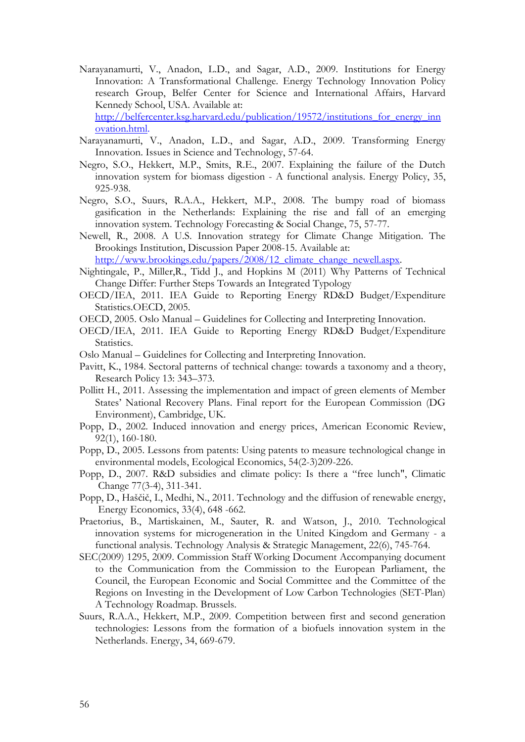- Narayanamurti, V., Anadon, L.D., and Sagar, A.D., 2009. Institutions for Energy Innovation: A Transformational Challenge. Energy Technology Innovation Policy research Group, Belfer Center for Science and International Affairs, Harvard Kennedy School, USA. Available at: http://belfercenter.ksg.harvard.edu/publication/19572/institutions for energy inn [ovation.html.](http://belfercenter.ksg.harvard.edu/publication/19572/institutions_for_energy_innovation.html)
- Narayanamurti, V., Anadon, L.D., and Sagar, A.D., 2009. Transforming Energy Innovation. Issues in Science and Technology, 57-64.
- Negro, S.O., Hekkert, M.P., Smits, R.E., 2007. Explaining the failure of the Dutch innovation system for biomass digestion - A functional analysis. Energy Policy, 35, 925-938.
- Negro, S.O., Suurs, R.A.A., Hekkert, M.P., 2008. The bumpy road of biomass gasification in the Netherlands: Explaining the rise and fall of an emerging innovation system. Technology Forecasting & Social Change, 75, 57-77.
- Newell, R., 2008. A U.S. Innovation strategy for Climate Change Mitigation. The Brookings Institution, Discussion Paper 2008-15. Available at:

http://www.brookings.edu/papers/2008/12 climate change newell.aspx.

- Nightingale, P., Miller,R., Tidd J., and Hopkins M (2011) Why Patterns of Technical Change Differ: Further Steps Towards an Integrated Typology
- OECD/IEA, 2011. IEA Guide to Reporting Energy RD&D Budget/Expenditure Statistics.OECD, 2005.
- OECD, 2005. Oslo Manual Guidelines for Collecting and Interpreting Innovation.
- OECD/IEA, 2011. IEA Guide to Reporting Energy RD&D Budget/Expenditure Statistics.
- Oslo Manual Guidelines for Collecting and Interpreting Innovation.
- Pavitt, K., 1984. [Sectoral patterns of technical change: towards a taxonomy and a theory,](http://www.sciencedirect.com/science?_ob=ArticleURL&_udi=B6V77-45D0PHD-5&_user=5674735&_coverDate=12%2F31%2F1984&_fmt=abstract&_orig=search&_cdi=5835&view=c&_acct=C000053929&_version=1&_urlVersion=0&_userid=5674735&md5=10b8291c8bc227541ab6c8c9e8a4b925&ref=full)  Research Policy 13: 343–373.
- Pollitt H., 2011. Assessing the implementation and impact of green elements of Member States' National Recovery Plans. Final report for the European Commission (DG Environment), Cambridge, UK.
- Popp, D., 2002. Induced innovation and energy prices, American Economic Review, 92(1), 160-180.
- Popp, D., 2005. Lessons from patents: Using patents to measure technological change in environmental models, Ecological Economics, 54(2-3)209-226.
- Popp, D., 2007. R&D subsidies and climate policy: Is there a "free lunch", Climatic Change 77(3-4), 311-341.
- Popp, D., Haščič, I., Medhi, N., 2011. Technology and the diffusion of renewable energy, Energy Economics, 33(4), 648 -662.
- Praetorius, B., Martiskainen, M., Sauter, R. and Watson, J., 2010. Technological innovation systems for microgeneration in the United Kingdom and Germany - a functional analysis. Technology Analysis & Strategic Management, 22(6), 745-764.
- SEC(2009) 1295, 2009. Commission Staff Working Document Accompanying document to the Communication from the Commission to the European Parliament, the Council, the European Economic and Social Committee and the Committee of the Regions on Investing in the Development of Low Carbon Technologies (SET-Plan) A Technology Roadmap. Brussels.
- Suurs, R.A.A., Hekkert, M.P., 2009. Competition between first and second generation technologies: Lessons from the formation of a biofuels innovation system in the Netherlands. Energy, 34, 669-679.